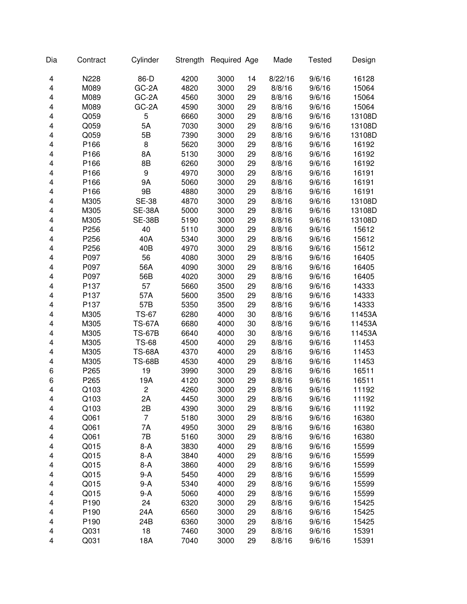| Dia | Contract         | Cylinder       | Strength | Required Age |    | Made    | <b>Tested</b> | Design |
|-----|------------------|----------------|----------|--------------|----|---------|---------------|--------|
| 4   | N228             | 86-D           | 4200     | 3000         | 14 | 8/22/16 | 9/6/16        | 16128  |
| 4   | M089             | GC-2A          | 4820     | 3000         | 29 | 8/8/16  | 9/6/16        | 15064  |
| 4   | M089             | GC-2A          | 4560     | 3000         | 29 | 8/8/16  | 9/6/16        | 15064  |
| 4   | M089             | GC-2A          | 4590     | 3000         | 29 | 8/8/16  | 9/6/16        | 15064  |
| 4   | Q059             | 5              | 6660     | 3000         | 29 | 8/8/16  | 9/6/16        | 13108D |
| 4   | Q059             | 5A             | 7030     | 3000         | 29 | 8/8/16  | 9/6/16        | 13108D |
| 4   | Q059             | 5B             | 7390     | 3000         | 29 | 8/8/16  | 9/6/16        | 13108D |
| 4   | P166             | 8              | 5620     | 3000         | 29 | 8/8/16  | 9/6/16        | 16192  |
| 4   | P166             | 8A             | 5130     | 3000         | 29 | 8/8/16  | 9/6/16        | 16192  |
| 4   | P166             | 8B             | 6260     | 3000         | 29 | 8/8/16  | 9/6/16        | 16192  |
| 4   | P166             | 9              | 4970     | 3000         | 29 | 8/8/16  | 9/6/16        | 16191  |
| 4   | P166             | 9Α             | 5060     | 3000         | 29 | 8/8/16  | 9/6/16        | 16191  |
| 4   | P166             | 9B             | 4880     | 3000         | 29 | 8/8/16  | 9/6/16        | 16191  |
| 4   | M305             | <b>SE-38</b>   | 4870     | 3000         | 29 | 8/8/16  | 9/6/16        | 13108D |
| 4   | M305             | <b>SE-38A</b>  | 5000     | 3000         | 29 | 8/8/16  | 9/6/16        | 13108D |
| 4   | M305             | <b>SE-38B</b>  | 5190     | 3000         | 29 | 8/8/16  | 9/6/16        | 13108D |
| 4   | P256             | 40             | 5110     | 3000         | 29 | 8/8/16  | 9/6/16        | 15612  |
| 4   | P256             | 40A            | 5340     | 3000         | 29 | 8/8/16  | 9/6/16        | 15612  |
| 4   | P256             | 40B            | 4970     | 3000         | 29 | 8/8/16  | 9/6/16        | 15612  |
| 4   | P097             | 56             | 4080     | 3000         | 29 | 8/8/16  | 9/6/16        | 16405  |
| 4   | P097             | 56A            | 4090     | 3000         | 29 | 8/8/16  | 9/6/16        | 16405  |
| 4   | P097             | 56B            | 4020     | 3000         | 29 | 8/8/16  | 9/6/16        | 16405  |
| 4   | P137             | 57             | 5660     | 3500         | 29 | 8/8/16  | 9/6/16        | 14333  |
| 4   | P137             | 57A            | 5600     | 3500         | 29 | 8/8/16  | 9/6/16        | 14333  |
| 4   | P137             | 57B            | 5350     | 3500         | 29 | 8/8/16  | 9/6/16        | 14333  |
| 4   | M305             | <b>TS-67</b>   | 6280     | 4000         | 30 | 8/8/16  | 9/6/16        | 11453A |
| 4   | M305             | <b>TS-67A</b>  | 6680     | 4000         | 30 | 8/8/16  | 9/6/16        | 11453A |
| 4   | M305             | <b>TS-67B</b>  | 6640     | 4000         | 30 | 8/8/16  | 9/6/16        | 11453A |
| 4   | M305             | <b>TS-68</b>   | 4500     | 4000         | 29 | 8/8/16  | 9/6/16        | 11453  |
| 4   | M305             | <b>TS-68A</b>  | 4370     | 4000         | 29 | 8/8/16  | 9/6/16        | 11453  |
| 4   | M305             | <b>TS-68B</b>  | 4530     | 4000         | 29 | 8/8/16  | 9/6/16        | 11453  |
| 6   | P265             | 19             | 3990     | 3000         | 29 | 8/8/16  | 9/6/16        | 16511  |
| 6   | P265             | 19A            | 4120     | 3000         | 29 | 8/8/16  | 9/6/16        | 16511  |
| 4   | Q103             | $\overline{c}$ | 4260     | 3000         | 29 | 8/8/16  | 9/6/16        | 11192  |
| 4   | Q <sub>103</sub> | 2Α             | 4450     | 3000         | 29 | 8/8/16  | 9/6/16        | 11192  |
| 4   | Q103             | 2B             | 4390     | 3000         | 29 | 8/8/16  | 9/6/16        | 11192  |
| 4   | Q061             | 7              | 5180     | 3000         | 29 | 8/8/16  | 9/6/16        | 16380  |
| 4   | Q061             | 7A             | 4950     | 3000         | 29 | 8/8/16  | 9/6/16        | 16380  |
| 4   | Q061             | 7B             | 5160     | 3000         | 29 | 8/8/16  | 9/6/16        | 16380  |
| 4   | Q015             | $8-A$          | 3830     | 4000         | 29 | 8/8/16  | 9/6/16        | 15599  |
| 4   | Q015             | $8-A$          | 3840     | 4000         | 29 | 8/8/16  | 9/6/16        | 15599  |
| 4   | Q015             | $8-A$          | 3860     | 4000         | 29 | 8/8/16  | 9/6/16        | 15599  |
| 4   | Q015             | $9-A$          | 5450     | 4000         | 29 | 8/8/16  | 9/6/16        | 15599  |
| 4   | Q015             | $9-A$          | 5340     | 4000         | 29 | 8/8/16  | 9/6/16        | 15599  |
| 4   | Q015             | $9-A$          | 5060     | 4000         | 29 | 8/8/16  | 9/6/16        | 15599  |
| 4   | P190             | 24             | 6320     | 3000         | 29 | 8/8/16  | 9/6/16        | 15425  |
| 4   | P190             | 24A            | 6560     | 3000         | 29 | 8/8/16  | 9/6/16        | 15425  |
| 4   | P190             | 24B            | 6360     | 3000         | 29 | 8/8/16  | 9/6/16        | 15425  |
| 4   | Q031             | 18             | 7460     | 3000         | 29 | 8/8/16  | 9/6/16        | 15391  |
| 4   | Q031             | 18A            | 7040     | 3000         | 29 | 8/8/16  | 9/6/16        | 15391  |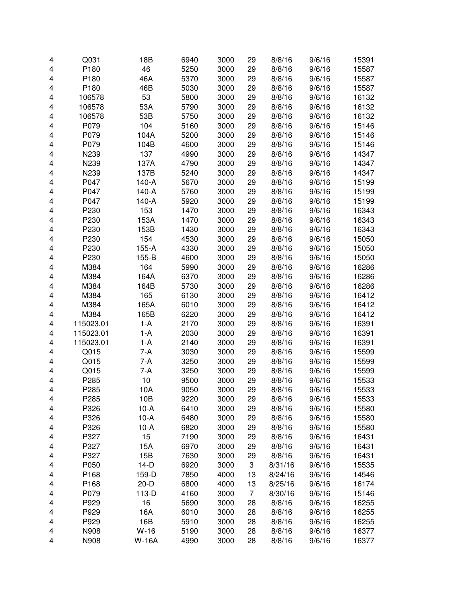| 29<br>P180<br>46<br>5250<br>3000<br>29<br>8/8/16<br>9/6/16<br>4<br>P180<br>46A<br>5370<br>3000<br>29<br>8/8/16<br>9/6/16<br>4<br>P180<br>46B<br>5030<br>3000<br>29<br>8/8/16<br>9/6/16<br>4<br>53<br>5800<br>3000<br>106578<br>29<br>8/8/16<br>9/6/16<br>4<br>53A<br>5790<br>3000<br>29<br>4<br>106578<br>8/8/16<br>9/6/16<br>53B<br>5750<br>3000<br>29<br>4<br>106578<br>8/8/16<br>9/6/16<br>P079<br>104<br>5160<br>3000<br>29<br>9/6/16<br>4<br>8/8/16<br>P079<br>5200<br>3000<br>29<br>4<br>104A<br>8/8/16<br>9/6/16<br>P079<br>104B<br>4600<br>3000<br>29<br>8/8/16<br>4<br>9/6/16<br>N239<br>137<br>4990<br>3000<br>29<br>4<br>8/8/16<br>9/6/16<br>N239<br>4790<br>3000<br>29<br>4<br>137A<br>8/8/16<br>9/6/16<br>N239<br>137B<br>5240<br>3000<br>4<br>29<br>8/8/16<br>9/6/16<br>P047<br>140-A<br>3000<br>29<br>8/8/16<br>4<br>5670<br>9/6/16<br>P047<br>140-A<br>5760<br>3000<br>29<br>8/8/16<br>4<br>9/6/16<br>140-A<br>P047<br>5920<br>3000<br>29<br>4<br>8/8/16<br>9/6/16<br>153<br>P230<br>1470<br>3000<br>9/6/16<br>4<br>29<br>8/8/16<br>P230<br>153A<br>1470<br>3000<br>29<br>8/8/16<br>9/6/16<br>4<br>P230<br>153B<br>1430<br>3000<br>29<br>8/8/16<br>9/6/16<br>4<br>P230<br>154<br>4530<br>3000<br>29<br>8/8/16<br>9/6/16<br>4<br>P230<br>155-A<br>4330<br>3000<br>29<br>8/8/16<br>9/6/16<br>4<br>P230<br>155-B<br>4600<br>3000<br>29<br>4<br>8/8/16<br>9/6/16<br>164<br>M384<br>5990<br>3000<br>29<br>8/8/16<br>4<br>9/6/16<br>M384<br>164A<br>6370<br>3000<br>29<br>8/8/16<br>9/6/16<br>4<br>M384<br>164B<br>5730<br>3000<br>29<br>8/8/16<br>9/6/16<br>4<br>M384<br>165<br>6130<br>3000<br>29<br>8/8/16<br>9/6/16<br>4<br>29<br>M384<br>165A<br>6010<br>3000<br>8/8/16<br>9/6/16<br>4<br>M384<br>6220<br>3000<br>29<br>8/8/16<br>4<br>165B<br>9/6/16<br>$1-A$<br>2170<br>3000<br>29<br>8/8/16<br>4<br>115023.01<br>9/6/16<br>115023.01<br>$1-A$<br>2030<br>3000<br>29<br>8/8/16<br>4<br>9/6/16<br>115023.01<br>$1-A$<br>2140<br>3000<br>29<br>8/8/16<br>4<br>9/6/16<br>Q015<br>7-A<br>3030<br>3000<br>29<br>8/8/16<br>4<br>9/6/16<br>Q015<br>7-A<br>3250<br>3000<br>4<br>29<br>8/8/16<br>9/6/16<br>Q015<br>7-A<br>3250<br>3000<br>9/6/16<br>4<br>29<br>8/8/16<br>P285<br>10<br>9500<br>3000<br>8/8/16<br>9/6/16<br>4<br>29<br>P285<br>3000<br>29<br>8/8/16<br>10A<br>9050<br>9/6/16<br>4<br>4<br>P285<br>10B<br>9220<br>3000<br>29<br>8/8/16<br>9/6/16<br>P326<br>$10-A$<br>6410<br>3000<br>29<br>8/8/16<br>9/6/16<br>4<br>P326<br>$10-A$<br>6480<br>3000<br>29<br>8/8/16<br>9/6/16<br>4<br>P326<br>6820<br>3000<br>29<br>$10-A$<br>8/8/16<br>9/6/16<br>4 | 15391 |
|---------------------------------------------------------------------------------------------------------------------------------------------------------------------------------------------------------------------------------------------------------------------------------------------------------------------------------------------------------------------------------------------------------------------------------------------------------------------------------------------------------------------------------------------------------------------------------------------------------------------------------------------------------------------------------------------------------------------------------------------------------------------------------------------------------------------------------------------------------------------------------------------------------------------------------------------------------------------------------------------------------------------------------------------------------------------------------------------------------------------------------------------------------------------------------------------------------------------------------------------------------------------------------------------------------------------------------------------------------------------------------------------------------------------------------------------------------------------------------------------------------------------------------------------------------------------------------------------------------------------------------------------------------------------------------------------------------------------------------------------------------------------------------------------------------------------------------------------------------------------------------------------------------------------------------------------------------------------------------------------------------------------------------------------------------------------------------------------------------------------------------------------------------------------------------------------------------------------------------------------------------------------------------------------------------------------------------------------------------------------------------------------------------------------------------------------------------------------------------------------------------------------------------------------------------------------------|-------|
|                                                                                                                                                                                                                                                                                                                                                                                                                                                                                                                                                                                                                                                                                                                                                                                                                                                                                                                                                                                                                                                                                                                                                                                                                                                                                                                                                                                                                                                                                                                                                                                                                                                                                                                                                                                                                                                                                                                                                                                                                                                                                                                                                                                                                                                                                                                                                                                                                                                                                                                                                                           | 15587 |
|                                                                                                                                                                                                                                                                                                                                                                                                                                                                                                                                                                                                                                                                                                                                                                                                                                                                                                                                                                                                                                                                                                                                                                                                                                                                                                                                                                                                                                                                                                                                                                                                                                                                                                                                                                                                                                                                                                                                                                                                                                                                                                                                                                                                                                                                                                                                                                                                                                                                                                                                                                           | 15587 |
|                                                                                                                                                                                                                                                                                                                                                                                                                                                                                                                                                                                                                                                                                                                                                                                                                                                                                                                                                                                                                                                                                                                                                                                                                                                                                                                                                                                                                                                                                                                                                                                                                                                                                                                                                                                                                                                                                                                                                                                                                                                                                                                                                                                                                                                                                                                                                                                                                                                                                                                                                                           | 15587 |
|                                                                                                                                                                                                                                                                                                                                                                                                                                                                                                                                                                                                                                                                                                                                                                                                                                                                                                                                                                                                                                                                                                                                                                                                                                                                                                                                                                                                                                                                                                                                                                                                                                                                                                                                                                                                                                                                                                                                                                                                                                                                                                                                                                                                                                                                                                                                                                                                                                                                                                                                                                           | 16132 |
|                                                                                                                                                                                                                                                                                                                                                                                                                                                                                                                                                                                                                                                                                                                                                                                                                                                                                                                                                                                                                                                                                                                                                                                                                                                                                                                                                                                                                                                                                                                                                                                                                                                                                                                                                                                                                                                                                                                                                                                                                                                                                                                                                                                                                                                                                                                                                                                                                                                                                                                                                                           | 16132 |
|                                                                                                                                                                                                                                                                                                                                                                                                                                                                                                                                                                                                                                                                                                                                                                                                                                                                                                                                                                                                                                                                                                                                                                                                                                                                                                                                                                                                                                                                                                                                                                                                                                                                                                                                                                                                                                                                                                                                                                                                                                                                                                                                                                                                                                                                                                                                                                                                                                                                                                                                                                           | 16132 |
|                                                                                                                                                                                                                                                                                                                                                                                                                                                                                                                                                                                                                                                                                                                                                                                                                                                                                                                                                                                                                                                                                                                                                                                                                                                                                                                                                                                                                                                                                                                                                                                                                                                                                                                                                                                                                                                                                                                                                                                                                                                                                                                                                                                                                                                                                                                                                                                                                                                                                                                                                                           | 15146 |
|                                                                                                                                                                                                                                                                                                                                                                                                                                                                                                                                                                                                                                                                                                                                                                                                                                                                                                                                                                                                                                                                                                                                                                                                                                                                                                                                                                                                                                                                                                                                                                                                                                                                                                                                                                                                                                                                                                                                                                                                                                                                                                                                                                                                                                                                                                                                                                                                                                                                                                                                                                           | 15146 |
|                                                                                                                                                                                                                                                                                                                                                                                                                                                                                                                                                                                                                                                                                                                                                                                                                                                                                                                                                                                                                                                                                                                                                                                                                                                                                                                                                                                                                                                                                                                                                                                                                                                                                                                                                                                                                                                                                                                                                                                                                                                                                                                                                                                                                                                                                                                                                                                                                                                                                                                                                                           | 15146 |
|                                                                                                                                                                                                                                                                                                                                                                                                                                                                                                                                                                                                                                                                                                                                                                                                                                                                                                                                                                                                                                                                                                                                                                                                                                                                                                                                                                                                                                                                                                                                                                                                                                                                                                                                                                                                                                                                                                                                                                                                                                                                                                                                                                                                                                                                                                                                                                                                                                                                                                                                                                           | 14347 |
|                                                                                                                                                                                                                                                                                                                                                                                                                                                                                                                                                                                                                                                                                                                                                                                                                                                                                                                                                                                                                                                                                                                                                                                                                                                                                                                                                                                                                                                                                                                                                                                                                                                                                                                                                                                                                                                                                                                                                                                                                                                                                                                                                                                                                                                                                                                                                                                                                                                                                                                                                                           | 14347 |
|                                                                                                                                                                                                                                                                                                                                                                                                                                                                                                                                                                                                                                                                                                                                                                                                                                                                                                                                                                                                                                                                                                                                                                                                                                                                                                                                                                                                                                                                                                                                                                                                                                                                                                                                                                                                                                                                                                                                                                                                                                                                                                                                                                                                                                                                                                                                                                                                                                                                                                                                                                           | 14347 |
|                                                                                                                                                                                                                                                                                                                                                                                                                                                                                                                                                                                                                                                                                                                                                                                                                                                                                                                                                                                                                                                                                                                                                                                                                                                                                                                                                                                                                                                                                                                                                                                                                                                                                                                                                                                                                                                                                                                                                                                                                                                                                                                                                                                                                                                                                                                                                                                                                                                                                                                                                                           | 15199 |
|                                                                                                                                                                                                                                                                                                                                                                                                                                                                                                                                                                                                                                                                                                                                                                                                                                                                                                                                                                                                                                                                                                                                                                                                                                                                                                                                                                                                                                                                                                                                                                                                                                                                                                                                                                                                                                                                                                                                                                                                                                                                                                                                                                                                                                                                                                                                                                                                                                                                                                                                                                           | 15199 |
|                                                                                                                                                                                                                                                                                                                                                                                                                                                                                                                                                                                                                                                                                                                                                                                                                                                                                                                                                                                                                                                                                                                                                                                                                                                                                                                                                                                                                                                                                                                                                                                                                                                                                                                                                                                                                                                                                                                                                                                                                                                                                                                                                                                                                                                                                                                                                                                                                                                                                                                                                                           | 15199 |
|                                                                                                                                                                                                                                                                                                                                                                                                                                                                                                                                                                                                                                                                                                                                                                                                                                                                                                                                                                                                                                                                                                                                                                                                                                                                                                                                                                                                                                                                                                                                                                                                                                                                                                                                                                                                                                                                                                                                                                                                                                                                                                                                                                                                                                                                                                                                                                                                                                                                                                                                                                           | 16343 |
|                                                                                                                                                                                                                                                                                                                                                                                                                                                                                                                                                                                                                                                                                                                                                                                                                                                                                                                                                                                                                                                                                                                                                                                                                                                                                                                                                                                                                                                                                                                                                                                                                                                                                                                                                                                                                                                                                                                                                                                                                                                                                                                                                                                                                                                                                                                                                                                                                                                                                                                                                                           | 16343 |
|                                                                                                                                                                                                                                                                                                                                                                                                                                                                                                                                                                                                                                                                                                                                                                                                                                                                                                                                                                                                                                                                                                                                                                                                                                                                                                                                                                                                                                                                                                                                                                                                                                                                                                                                                                                                                                                                                                                                                                                                                                                                                                                                                                                                                                                                                                                                                                                                                                                                                                                                                                           | 16343 |
|                                                                                                                                                                                                                                                                                                                                                                                                                                                                                                                                                                                                                                                                                                                                                                                                                                                                                                                                                                                                                                                                                                                                                                                                                                                                                                                                                                                                                                                                                                                                                                                                                                                                                                                                                                                                                                                                                                                                                                                                                                                                                                                                                                                                                                                                                                                                                                                                                                                                                                                                                                           | 15050 |
|                                                                                                                                                                                                                                                                                                                                                                                                                                                                                                                                                                                                                                                                                                                                                                                                                                                                                                                                                                                                                                                                                                                                                                                                                                                                                                                                                                                                                                                                                                                                                                                                                                                                                                                                                                                                                                                                                                                                                                                                                                                                                                                                                                                                                                                                                                                                                                                                                                                                                                                                                                           | 15050 |
|                                                                                                                                                                                                                                                                                                                                                                                                                                                                                                                                                                                                                                                                                                                                                                                                                                                                                                                                                                                                                                                                                                                                                                                                                                                                                                                                                                                                                                                                                                                                                                                                                                                                                                                                                                                                                                                                                                                                                                                                                                                                                                                                                                                                                                                                                                                                                                                                                                                                                                                                                                           | 15050 |
|                                                                                                                                                                                                                                                                                                                                                                                                                                                                                                                                                                                                                                                                                                                                                                                                                                                                                                                                                                                                                                                                                                                                                                                                                                                                                                                                                                                                                                                                                                                                                                                                                                                                                                                                                                                                                                                                                                                                                                                                                                                                                                                                                                                                                                                                                                                                                                                                                                                                                                                                                                           | 16286 |
|                                                                                                                                                                                                                                                                                                                                                                                                                                                                                                                                                                                                                                                                                                                                                                                                                                                                                                                                                                                                                                                                                                                                                                                                                                                                                                                                                                                                                                                                                                                                                                                                                                                                                                                                                                                                                                                                                                                                                                                                                                                                                                                                                                                                                                                                                                                                                                                                                                                                                                                                                                           | 16286 |
|                                                                                                                                                                                                                                                                                                                                                                                                                                                                                                                                                                                                                                                                                                                                                                                                                                                                                                                                                                                                                                                                                                                                                                                                                                                                                                                                                                                                                                                                                                                                                                                                                                                                                                                                                                                                                                                                                                                                                                                                                                                                                                                                                                                                                                                                                                                                                                                                                                                                                                                                                                           | 16286 |
|                                                                                                                                                                                                                                                                                                                                                                                                                                                                                                                                                                                                                                                                                                                                                                                                                                                                                                                                                                                                                                                                                                                                                                                                                                                                                                                                                                                                                                                                                                                                                                                                                                                                                                                                                                                                                                                                                                                                                                                                                                                                                                                                                                                                                                                                                                                                                                                                                                                                                                                                                                           | 16412 |
|                                                                                                                                                                                                                                                                                                                                                                                                                                                                                                                                                                                                                                                                                                                                                                                                                                                                                                                                                                                                                                                                                                                                                                                                                                                                                                                                                                                                                                                                                                                                                                                                                                                                                                                                                                                                                                                                                                                                                                                                                                                                                                                                                                                                                                                                                                                                                                                                                                                                                                                                                                           | 16412 |
|                                                                                                                                                                                                                                                                                                                                                                                                                                                                                                                                                                                                                                                                                                                                                                                                                                                                                                                                                                                                                                                                                                                                                                                                                                                                                                                                                                                                                                                                                                                                                                                                                                                                                                                                                                                                                                                                                                                                                                                                                                                                                                                                                                                                                                                                                                                                                                                                                                                                                                                                                                           | 16412 |
|                                                                                                                                                                                                                                                                                                                                                                                                                                                                                                                                                                                                                                                                                                                                                                                                                                                                                                                                                                                                                                                                                                                                                                                                                                                                                                                                                                                                                                                                                                                                                                                                                                                                                                                                                                                                                                                                                                                                                                                                                                                                                                                                                                                                                                                                                                                                                                                                                                                                                                                                                                           | 16391 |
|                                                                                                                                                                                                                                                                                                                                                                                                                                                                                                                                                                                                                                                                                                                                                                                                                                                                                                                                                                                                                                                                                                                                                                                                                                                                                                                                                                                                                                                                                                                                                                                                                                                                                                                                                                                                                                                                                                                                                                                                                                                                                                                                                                                                                                                                                                                                                                                                                                                                                                                                                                           | 16391 |
|                                                                                                                                                                                                                                                                                                                                                                                                                                                                                                                                                                                                                                                                                                                                                                                                                                                                                                                                                                                                                                                                                                                                                                                                                                                                                                                                                                                                                                                                                                                                                                                                                                                                                                                                                                                                                                                                                                                                                                                                                                                                                                                                                                                                                                                                                                                                                                                                                                                                                                                                                                           | 16391 |
|                                                                                                                                                                                                                                                                                                                                                                                                                                                                                                                                                                                                                                                                                                                                                                                                                                                                                                                                                                                                                                                                                                                                                                                                                                                                                                                                                                                                                                                                                                                                                                                                                                                                                                                                                                                                                                                                                                                                                                                                                                                                                                                                                                                                                                                                                                                                                                                                                                                                                                                                                                           | 15599 |
|                                                                                                                                                                                                                                                                                                                                                                                                                                                                                                                                                                                                                                                                                                                                                                                                                                                                                                                                                                                                                                                                                                                                                                                                                                                                                                                                                                                                                                                                                                                                                                                                                                                                                                                                                                                                                                                                                                                                                                                                                                                                                                                                                                                                                                                                                                                                                                                                                                                                                                                                                                           | 15599 |
|                                                                                                                                                                                                                                                                                                                                                                                                                                                                                                                                                                                                                                                                                                                                                                                                                                                                                                                                                                                                                                                                                                                                                                                                                                                                                                                                                                                                                                                                                                                                                                                                                                                                                                                                                                                                                                                                                                                                                                                                                                                                                                                                                                                                                                                                                                                                                                                                                                                                                                                                                                           | 15599 |
|                                                                                                                                                                                                                                                                                                                                                                                                                                                                                                                                                                                                                                                                                                                                                                                                                                                                                                                                                                                                                                                                                                                                                                                                                                                                                                                                                                                                                                                                                                                                                                                                                                                                                                                                                                                                                                                                                                                                                                                                                                                                                                                                                                                                                                                                                                                                                                                                                                                                                                                                                                           | 15533 |
|                                                                                                                                                                                                                                                                                                                                                                                                                                                                                                                                                                                                                                                                                                                                                                                                                                                                                                                                                                                                                                                                                                                                                                                                                                                                                                                                                                                                                                                                                                                                                                                                                                                                                                                                                                                                                                                                                                                                                                                                                                                                                                                                                                                                                                                                                                                                                                                                                                                                                                                                                                           | 15533 |
|                                                                                                                                                                                                                                                                                                                                                                                                                                                                                                                                                                                                                                                                                                                                                                                                                                                                                                                                                                                                                                                                                                                                                                                                                                                                                                                                                                                                                                                                                                                                                                                                                                                                                                                                                                                                                                                                                                                                                                                                                                                                                                                                                                                                                                                                                                                                                                                                                                                                                                                                                                           | 15533 |
|                                                                                                                                                                                                                                                                                                                                                                                                                                                                                                                                                                                                                                                                                                                                                                                                                                                                                                                                                                                                                                                                                                                                                                                                                                                                                                                                                                                                                                                                                                                                                                                                                                                                                                                                                                                                                                                                                                                                                                                                                                                                                                                                                                                                                                                                                                                                                                                                                                                                                                                                                                           | 15580 |
|                                                                                                                                                                                                                                                                                                                                                                                                                                                                                                                                                                                                                                                                                                                                                                                                                                                                                                                                                                                                                                                                                                                                                                                                                                                                                                                                                                                                                                                                                                                                                                                                                                                                                                                                                                                                                                                                                                                                                                                                                                                                                                                                                                                                                                                                                                                                                                                                                                                                                                                                                                           | 15580 |
|                                                                                                                                                                                                                                                                                                                                                                                                                                                                                                                                                                                                                                                                                                                                                                                                                                                                                                                                                                                                                                                                                                                                                                                                                                                                                                                                                                                                                                                                                                                                                                                                                                                                                                                                                                                                                                                                                                                                                                                                                                                                                                                                                                                                                                                                                                                                                                                                                                                                                                                                                                           | 15580 |
| P327<br>15<br>7190<br>3000<br>29<br>8/8/16<br>9/6/16<br>4                                                                                                                                                                                                                                                                                                                                                                                                                                                                                                                                                                                                                                                                                                                                                                                                                                                                                                                                                                                                                                                                                                                                                                                                                                                                                                                                                                                                                                                                                                                                                                                                                                                                                                                                                                                                                                                                                                                                                                                                                                                                                                                                                                                                                                                                                                                                                                                                                                                                                                                 | 16431 |
| P327<br>15A<br>6970<br>3000<br>29<br>9/6/16<br>8/8/16<br>4                                                                                                                                                                                                                                                                                                                                                                                                                                                                                                                                                                                                                                                                                                                                                                                                                                                                                                                                                                                                                                                                                                                                                                                                                                                                                                                                                                                                                                                                                                                                                                                                                                                                                                                                                                                                                                                                                                                                                                                                                                                                                                                                                                                                                                                                                                                                                                                                                                                                                                                | 16431 |
| P327<br>15B<br>7630<br>3000<br>29<br>8/8/16<br>9/6/16<br>4                                                                                                                                                                                                                                                                                                                                                                                                                                                                                                                                                                                                                                                                                                                                                                                                                                                                                                                                                                                                                                                                                                                                                                                                                                                                                                                                                                                                                                                                                                                                                                                                                                                                                                                                                                                                                                                                                                                                                                                                                                                                                                                                                                                                                                                                                                                                                                                                                                                                                                                | 16431 |
| 3<br>P050<br>$14-D$<br>6920<br>3000<br>8/31/16<br>9/6/16<br>4                                                                                                                                                                                                                                                                                                                                                                                                                                                                                                                                                                                                                                                                                                                                                                                                                                                                                                                                                                                                                                                                                                                                                                                                                                                                                                                                                                                                                                                                                                                                                                                                                                                                                                                                                                                                                                                                                                                                                                                                                                                                                                                                                                                                                                                                                                                                                                                                                                                                                                             | 15535 |
| P168<br>7850<br>4000<br>13<br>159-D<br>8/24/16<br>9/6/16<br>4                                                                                                                                                                                                                                                                                                                                                                                                                                                                                                                                                                                                                                                                                                                                                                                                                                                                                                                                                                                                                                                                                                                                                                                                                                                                                                                                                                                                                                                                                                                                                                                                                                                                                                                                                                                                                                                                                                                                                                                                                                                                                                                                                                                                                                                                                                                                                                                                                                                                                                             | 14546 |
| P168<br>$20-D$<br>6800<br>4000<br>13<br>8/25/16<br>9/6/16<br>4                                                                                                                                                                                                                                                                                                                                                                                                                                                                                                                                                                                                                                                                                                                                                                                                                                                                                                                                                                                                                                                                                                                                                                                                                                                                                                                                                                                                                                                                                                                                                                                                                                                                                                                                                                                                                                                                                                                                                                                                                                                                                                                                                                                                                                                                                                                                                                                                                                                                                                            | 16174 |
| $\overline{7}$<br>P079<br>113-D<br>4160<br>3000<br>9/6/16<br>4<br>8/30/16                                                                                                                                                                                                                                                                                                                                                                                                                                                                                                                                                                                                                                                                                                                                                                                                                                                                                                                                                                                                                                                                                                                                                                                                                                                                                                                                                                                                                                                                                                                                                                                                                                                                                                                                                                                                                                                                                                                                                                                                                                                                                                                                                                                                                                                                                                                                                                                                                                                                                                 | 15146 |
| P929<br>16<br>5690<br>3000<br>28<br>8/8/16<br>4<br>9/6/16                                                                                                                                                                                                                                                                                                                                                                                                                                                                                                                                                                                                                                                                                                                                                                                                                                                                                                                                                                                                                                                                                                                                                                                                                                                                                                                                                                                                                                                                                                                                                                                                                                                                                                                                                                                                                                                                                                                                                                                                                                                                                                                                                                                                                                                                                                                                                                                                                                                                                                                 | 16255 |
| P929<br>16A<br>6010<br>3000<br>8/8/16<br>28<br>9/6/16<br>4                                                                                                                                                                                                                                                                                                                                                                                                                                                                                                                                                                                                                                                                                                                                                                                                                                                                                                                                                                                                                                                                                                                                                                                                                                                                                                                                                                                                                                                                                                                                                                                                                                                                                                                                                                                                                                                                                                                                                                                                                                                                                                                                                                                                                                                                                                                                                                                                                                                                                                                | 16255 |
| 16B<br>P929<br>5910<br>3000<br>9/6/16<br>4<br>28<br>8/8/16                                                                                                                                                                                                                                                                                                                                                                                                                                                                                                                                                                                                                                                                                                                                                                                                                                                                                                                                                                                                                                                                                                                                                                                                                                                                                                                                                                                                                                                                                                                                                                                                                                                                                                                                                                                                                                                                                                                                                                                                                                                                                                                                                                                                                                                                                                                                                                                                                                                                                                                | 16255 |
| N908<br>$W-16$<br>5190<br>3000<br>28<br>8/8/16<br>9/6/16<br>4                                                                                                                                                                                                                                                                                                                                                                                                                                                                                                                                                                                                                                                                                                                                                                                                                                                                                                                                                                                                                                                                                                                                                                                                                                                                                                                                                                                                                                                                                                                                                                                                                                                                                                                                                                                                                                                                                                                                                                                                                                                                                                                                                                                                                                                                                                                                                                                                                                                                                                             | 16377 |
| N908<br><b>W-16A</b><br>4990<br>3000<br>28<br>8/8/16<br>9/6/16<br>4                                                                                                                                                                                                                                                                                                                                                                                                                                                                                                                                                                                                                                                                                                                                                                                                                                                                                                                                                                                                                                                                                                                                                                                                                                                                                                                                                                                                                                                                                                                                                                                                                                                                                                                                                                                                                                                                                                                                                                                                                                                                                                                                                                                                                                                                                                                                                                                                                                                                                                       | 16377 |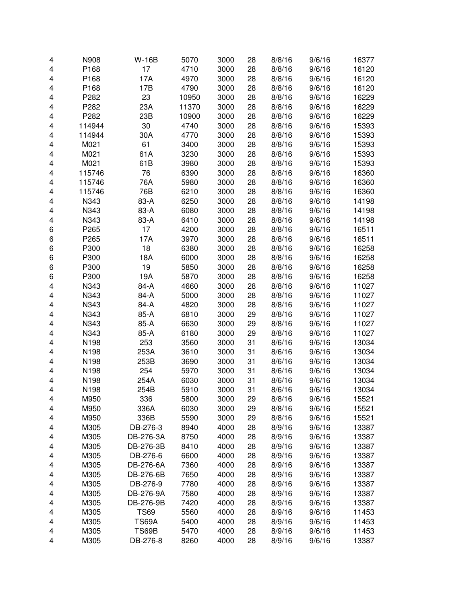| 4                       | N908   | <b>W-16B</b> | 5070  | 3000 | 28 | 8/8/16 | 9/6/16 | 16377 |
|-------------------------|--------|--------------|-------|------|----|--------|--------|-------|
| 4                       | P168   | 17           | 4710  | 3000 | 28 | 8/8/16 | 9/6/16 | 16120 |
| 4                       | P168   | 17A          | 4970  | 3000 | 28 | 8/8/16 | 9/6/16 | 16120 |
| 4                       | P168   | 17B          | 4790  | 3000 | 28 | 8/8/16 | 9/6/16 | 16120 |
| 4                       | P282   | 23           | 10950 | 3000 | 28 | 8/8/16 | 9/6/16 | 16229 |
| 4                       | P282   | 23A          | 11370 | 3000 | 28 | 8/8/16 | 9/6/16 | 16229 |
| 4                       | P282   | 23B          | 10900 | 3000 | 28 | 8/8/16 | 9/6/16 | 16229 |
| 4                       | 114944 | 30           | 4740  | 3000 | 28 | 8/8/16 | 9/6/16 | 15393 |
| 4                       | 114944 | 30A          | 4770  | 3000 | 28 | 8/8/16 | 9/6/16 | 15393 |
| 4                       | M021   | 61           | 3400  | 3000 | 28 | 8/8/16 | 9/6/16 | 15393 |
| 4                       | M021   | 61A          | 3230  | 3000 | 28 | 8/8/16 | 9/6/16 | 15393 |
| 4                       | M021   | 61B          | 3980  | 3000 | 28 | 8/8/16 | 9/6/16 | 15393 |
| 4                       | 115746 | 76           | 6390  | 3000 | 28 | 8/8/16 | 9/6/16 | 16360 |
| 4                       | 115746 | 76A          | 5980  | 3000 | 28 | 8/8/16 | 9/6/16 | 16360 |
| $\overline{\mathbf{4}}$ | 115746 | 76B          | 6210  | 3000 | 28 | 8/8/16 | 9/6/16 | 16360 |
| 4                       | N343   | 83-A         | 6250  | 3000 | 28 | 8/8/16 | 9/6/16 | 14198 |
| 4                       | N343   | 83-A         | 6080  | 3000 | 28 | 8/8/16 | 9/6/16 | 14198 |
| 4                       | N343   | 83-A         | 6410  | 3000 | 28 | 8/8/16 | 9/6/16 | 14198 |
| 6                       | P265   | 17           | 4200  | 3000 | 28 | 8/8/16 | 9/6/16 | 16511 |
| 6                       | P265   | 17A          | 3970  | 3000 | 28 | 8/8/16 | 9/6/16 | 16511 |
| 6                       | P300   | 18           | 6380  | 3000 | 28 | 8/8/16 | 9/6/16 | 16258 |
| 6                       | P300   | 18A          | 6000  | 3000 | 28 | 8/8/16 | 9/6/16 | 16258 |
| 6                       | P300   | 19           | 5850  | 3000 | 28 | 8/8/16 | 9/6/16 | 16258 |
| 6                       | P300   | 19A          | 5870  | 3000 | 28 | 8/8/16 | 9/6/16 | 16258 |
| 4                       | N343   | 84-A         | 4660  | 3000 | 28 | 8/8/16 | 9/6/16 | 11027 |
| 4                       | N343   | 84-A         | 5000  | 3000 | 28 | 8/8/16 | 9/6/16 | 11027 |
| 4                       | N343   | 84-A         | 4820  | 3000 | 28 | 8/8/16 | 9/6/16 | 11027 |
| 4                       | N343   | 85-A         | 6810  | 3000 | 29 | 8/8/16 | 9/6/16 | 11027 |
| 4                       | N343   | 85-A         | 6630  | 3000 | 29 | 8/8/16 | 9/6/16 | 11027 |
| 4                       | N343   | 85-A         | 6180  | 3000 | 29 | 8/8/16 | 9/6/16 | 11027 |
| 4                       | N198   | 253          | 3560  | 3000 | 31 | 8/6/16 | 9/6/16 | 13034 |
| $\overline{\mathbf{4}}$ | N198   | 253A         | 3610  | 3000 | 31 | 8/6/16 | 9/6/16 | 13034 |
| 4                       | N198   | 253B         | 3690  | 3000 | 31 | 8/6/16 | 9/6/16 | 13034 |
| 4                       | N198   | 254          | 5970  | 3000 | 31 | 8/6/16 | 9/6/16 | 13034 |
| 4                       | N198   | 254A         | 6030  | 3000 | 31 | 8/6/16 | 9/6/16 | 13034 |
| 4                       | N198   | 254B         | 5910  | 3000 | 31 | 8/6/16 | 9/6/16 | 13034 |
| 4                       | M950   | 336          | 5800  | 3000 | 29 | 8/8/16 | 9/6/16 | 15521 |
| 4                       | M950   | 336A         | 6030  | 3000 | 29 | 8/8/16 | 9/6/16 | 15521 |
| 4                       | M950   | 336B         | 5590  | 3000 | 29 | 8/8/16 | 9/6/16 | 15521 |
| 4                       | M305   | DB-276-3     | 8940  | 4000 | 28 | 8/9/16 | 9/6/16 | 13387 |
| 4                       | M305   | DB-276-3A    | 8750  | 4000 | 28 | 8/9/16 | 9/6/16 | 13387 |
| 4                       | M305   | DB-276-3B    | 8410  | 4000 | 28 | 8/9/16 | 9/6/16 | 13387 |
| 4                       | M305   | DB-276-6     | 6600  | 4000 | 28 | 8/9/16 | 9/6/16 | 13387 |
| 4                       | M305   | DB-276-6A    | 7360  | 4000 | 28 | 8/9/16 | 9/6/16 | 13387 |
| 4                       | M305   | DB-276-6B    | 7650  | 4000 | 28 | 8/9/16 | 9/6/16 | 13387 |
| 4                       | M305   | DB-276-9     | 7780  | 4000 | 28 | 8/9/16 | 9/6/16 | 13387 |
| 4                       | M305   | DB-276-9A    | 7580  | 4000 | 28 | 8/9/16 | 9/6/16 | 13387 |
| 4                       | M305   | DB-276-9B    | 7420  | 4000 | 28 | 8/9/16 | 9/6/16 | 13387 |
| 4                       | M305   | <b>TS69</b>  | 5560  | 4000 | 28 | 8/9/16 | 9/6/16 | 11453 |
| 4                       | M305   | <b>TS69A</b> | 5400  | 4000 | 28 | 8/9/16 | 9/6/16 | 11453 |
| 4                       | M305   | <b>TS69B</b> | 5470  | 4000 | 28 | 8/9/16 | 9/6/16 | 11453 |
| 4                       | M305   | DB-276-8     | 8260  | 4000 | 28 | 8/9/16 | 9/6/16 | 13387 |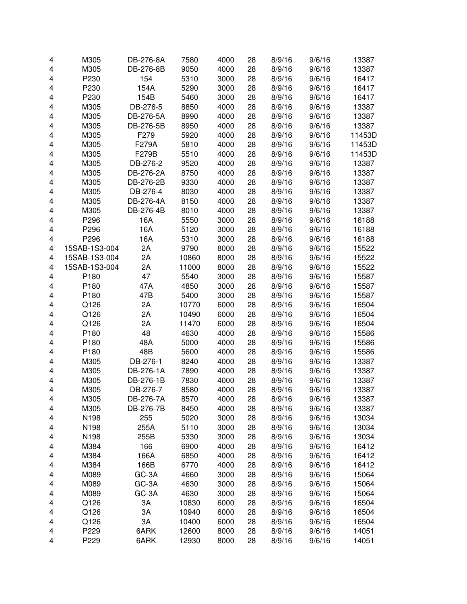| 4 | M305          | DB-276-8A | 7580         | 4000 | 28       | 8/9/16 | 9/6/16           | 13387          |
|---|---------------|-----------|--------------|------|----------|--------|------------------|----------------|
| 4 | M305          | DB-276-8B | 9050         | 4000 | 28       | 8/9/16 | 9/6/16           | 13387          |
| 4 | P230          | 154       | 5310         | 3000 | 28       | 8/9/16 | 9/6/16           | 16417          |
| 4 | P230          | 154A      | 5290         | 3000 | 28       | 8/9/16 | 9/6/16           | 16417          |
| 4 | P230          | 154B      | 5460         | 3000 | 28       | 8/9/16 | 9/6/16           | 16417          |
| 4 | M305          | DB-276-5  | 8850         | 4000 | 28       | 8/9/16 | 9/6/16           | 13387          |
| 4 | M305          | DB-276-5A | 8990         | 4000 | 28       | 8/9/16 | 9/6/16           | 13387          |
| 4 | M305          | DB-276-5B | 8950         | 4000 | 28       | 8/9/16 | 9/6/16           | 13387          |
| 4 | M305          | F279      | 5920         | 4000 | 28       | 8/9/16 | 9/6/16           | 11453D         |
| 4 | M305          | F279A     | 5810         | 4000 | 28       | 8/9/16 | 9/6/16           | 11453D         |
| 4 | M305          | F279B     | 5510         | 4000 | 28       | 8/9/16 | 9/6/16           | 11453D         |
| 4 | M305          | DB-276-2  | 9520         | 4000 | 28       | 8/9/16 | 9/6/16           | 13387          |
| 4 | M305          | DB-276-2A | 8750         | 4000 | 28       | 8/9/16 | 9/6/16           | 13387          |
| 4 | M305          | DB-276-2B | 9330         | 4000 | 28       | 8/9/16 | 9/6/16           | 13387          |
| 4 | M305          | DB-276-4  | 8030         | 4000 | 28       | 8/9/16 | 9/6/16           | 13387          |
| 4 | M305          | DB-276-4A | 8150         | 4000 | 28       | 8/9/16 | 9/6/16           | 13387          |
| 4 | M305          | DB-276-4B | 8010         | 4000 | 28       | 8/9/16 | 9/6/16           | 13387          |
| 4 | P296          | 16A       | 5550         | 3000 | 28       | 8/9/16 | 9/6/16           | 16188          |
| 4 | P296          | 16A       | 5120         | 3000 | 28       | 8/9/16 | 9/6/16           | 16188          |
| 4 | P296          | 16A       | 5310         | 3000 | 28       | 8/9/16 | 9/6/16           | 16188          |
| 4 | 15SAB-1S3-004 | 2A        | 9790         | 8000 | 28       | 8/9/16 | 9/6/16           | 15522          |
| 4 | 15SAB-1S3-004 | 2A        | 10860        | 8000 | 28       | 8/9/16 | 9/6/16           | 15522          |
| 4 | 15SAB-1S3-004 | 2A        | 11000        | 8000 | 28       | 8/9/16 | 9/6/16           | 15522          |
| 4 | P180          | 47        | 5540         | 3000 | 28       | 8/9/16 | 9/6/16           | 15587          |
| 4 | P180          | 47A       | 4850         | 3000 | 28       | 8/9/16 | 9/6/16           | 15587          |
| 4 | P180          | 47B       | 5400         | 3000 | 28       | 8/9/16 | 9/6/16           | 15587          |
| 4 | Q126          | 2A        | 10770        | 6000 | 28       | 8/9/16 | 9/6/16           | 16504          |
| 4 | Q126          | 2A        | 10490        | 6000 | 28       | 8/9/16 | 9/6/16           | 16504          |
| 4 | Q126          | 2A        | 11470        | 6000 | 28       | 8/9/16 | 9/6/16           | 16504          |
| 4 | P180          | 48        | 4630         | 4000 | 28       | 8/9/16 | 9/6/16           | 15586          |
| 4 | P180          | 48A       | 5000         | 4000 | 28       | 8/9/16 | 9/6/16           | 15586          |
| 4 | P180          | 48B       | 5600         | 4000 | 28       | 8/9/16 | 9/6/16           | 15586          |
| 4 | M305          | DB-276-1  | 8240         | 4000 | 28       | 8/9/16 | 9/6/16           | 13387          |
| 4 | M305          | DB-276-1A | 7890         | 4000 | 28       | 8/9/16 | 9/6/16           | 13387          |
| 4 | M305          | DB-276-1B | 7830         | 4000 | 28       | 8/9/16 | 9/6/16           | 13387          |
| 4 | M305          | DB-276-7  | 8580         | 4000 | 28       | 8/9/16 | 9/6/16           | 13387          |
|   |               | DB-276-7A |              | 4000 |          | 8/9/16 | 9/6/16           |                |
| 4 | M305<br>M305  | DB-276-7B | 8570<br>8450 | 4000 | 28<br>28 | 8/9/16 | 9/6/16           | 13387<br>13387 |
| 4 | N198          | 255       | 5020         | 3000 | 28       | 8/9/16 | 9/6/16           | 13034          |
| 4 | N198          | 255A      | 5110         | 3000 | 28       | 8/9/16 |                  |                |
| 4 |               | 255B      |              | 3000 |          |        | 9/6/16<br>9/6/16 | 13034          |
| 4 | N198          |           | 5330         |      | 28       | 8/9/16 |                  | 13034          |
| 4 | M384          | 166       | 6900         | 4000 | 28       | 8/9/16 | 9/6/16           | 16412          |
| 4 | M384          | 166A      | 6850         | 4000 | 28       | 8/9/16 | 9/6/16           | 16412          |
| 4 | M384          | 166B      | 6770         | 4000 | 28       | 8/9/16 | 9/6/16           | 16412          |
| 4 | M089          | GC-3A     | 4660         | 3000 | 28       | 8/9/16 | 9/6/16           | 15064          |
| 4 | M089          | GC-3A     | 4630         | 3000 | 28       | 8/9/16 | 9/6/16           | 15064          |
| 4 | M089          | GC-3A     | 4630         | 3000 | 28       | 8/9/16 | 9/6/16           | 15064          |
| 4 | Q126          | 3A        | 10830        | 6000 | 28       | 8/9/16 | 9/6/16           | 16504          |
| 4 | Q126          | 3A        | 10940        | 6000 | 28       | 8/9/16 | 9/6/16           | 16504          |
| 4 | Q126          | ЗA        | 10400        | 6000 | 28       | 8/9/16 | 9/6/16           | 16504          |
| 4 | P229          | 6ARK      | 12600        | 8000 | 28       | 8/9/16 | 9/6/16           | 14051          |
| 4 | P229          | 6ARK      | 12930        | 8000 | 28       | 8/9/16 | 9/6/16           | 14051          |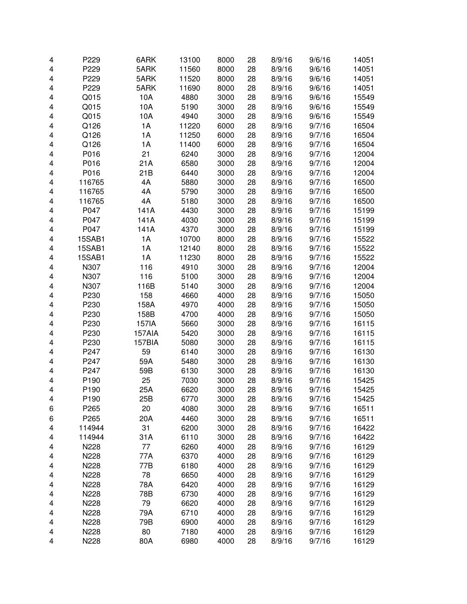| 4      | P229             | 6ARK   | 13100        | 8000         | 28       | 8/9/16           | 9/6/16           | 14051          |
|--------|------------------|--------|--------------|--------------|----------|------------------|------------------|----------------|
| 4      | P229             | 5ARK   | 11560        | 8000         | 28       | 8/9/16           | 9/6/16           | 14051          |
| 4      | P229             | 5ARK   | 11520        | 8000         | 28       | 8/9/16           | 9/6/16           | 14051          |
| 4      | P229             | 5ARK   | 11690        | 8000         | 28       | 8/9/16           | 9/6/16           | 14051          |
| 4      | Q015             | 10A    | 4880         | 3000         | 28       | 8/9/16           | 9/6/16           | 15549          |
| 4      | Q015             | 10A    | 5190         | 3000         | 28       | 8/9/16           | 9/6/16           | 15549          |
| 4      | Q015             | 10A    | 4940         | 3000         | 28       | 8/9/16           | 9/6/16           | 15549          |
| 4      | Q126             | 1A     | 11220        | 6000         | 28       | 8/9/16           | 9/7/16           | 16504          |
| 4      | Q126             | 1A     | 11250        | 6000         | 28       | 8/9/16           | 9/7/16           | 16504          |
| 4      | Q126             | 1A     | 11400        | 6000         | 28       | 8/9/16           | 9/7/16           | 16504          |
| 4      | P016             | 21     | 6240         | 3000         | 28       | 8/9/16           | 9/7/16           | 12004          |
| 4      | P016             | 21A    | 6580         | 3000         | 28       | 8/9/16           | 9/7/16           | 12004          |
| 4      | P016             | 21B    | 6440         | 3000         | 28       | 8/9/16           | 9/7/16           | 12004          |
| 4      | 116765           | 4A     | 5880         | 3000         | 28       | 8/9/16           | 9/7/16           | 16500          |
| 4      | 116765           | 4A     | 5790         | 3000         | 28       | 8/9/16           | 9/7/16           | 16500          |
| 4      | 116765           | 4A     | 5180         | 3000         | 28       | 8/9/16           | 9/7/16           | 16500          |
| 4      | P047             | 141A   | 4430         | 3000         | 28       | 8/9/16           | 9/7/16           | 15199          |
| 4      | P047             | 141A   | 4030         | 3000         | 28       | 8/9/16           | 9/7/16           | 15199          |
| 4      | P047             | 141A   | 4370         | 3000         | 28       | 8/9/16           | 9/7/16           | 15199          |
| 4      | <b>15SAB1</b>    | 1A     | 10700        | 8000         | 28       | 8/9/16           | 9/7/16           | 15522          |
| 4      | <b>15SAB1</b>    | 1A     | 12140        | 8000         | 28       | 8/9/16           | 9/7/16           | 15522          |
| 4      | 15SAB1           | 1A     | 11230        | 8000         | 28       | 8/9/16           | 9/7/16           | 15522          |
| 4      | N307             | 116    | 4910         | 3000         | 28       | 8/9/16           | 9/7/16           | 12004          |
| 4      | N307             | 116    | 5100         | 3000         | 28       | 8/9/16           | 9/7/16           | 12004          |
| 4      | N307             | 116B   | 5140         | 3000         | 28       | 8/9/16           | 9/7/16           | 12004          |
| 4      | P230             | 158    | 4660         | 4000         | 28       | 8/9/16           | 9/7/16           | 15050          |
| 4      | P230             | 158A   | 4970         | 4000         | 28       | 8/9/16           | 9/7/16           | 15050          |
| 4      | P230             | 158B   | 4700         | 4000         | 28       | 8/9/16           | 9/7/16           | 15050          |
| 4      | P230             | 157IA  | 5660         | 3000         | 28       | 8/9/16           | 9/7/16           | 16115          |
| 4      | P230             | 157AIA | 5420         | 3000         | 28       | 8/9/16           | 9/7/16           | 16115          |
| 4      | P230             | 157BIA | 5080         | 3000         | 28       | 8/9/16           | 9/7/16           | 16115          |
| 4      | P247             | 59     | 6140         | 3000         | 28       | 8/9/16           | 9/7/16           | 16130          |
| 4      | P247             | 59A    | 5480         | 3000         | 28       | 8/9/16           | 9/7/16           | 16130          |
| 4      | P247             | 59B    | 6130         | 3000         | 28       | 8/9/16           | 9/7/16           | 16130          |
| 4      | P190             | 25     | 7030         | 3000         | 28       | 8/9/16           | 9/7/16           | 15425          |
| 4      | P190             | 25A    | 6620         | 3000         | 28       | 8/9/16           | 9/7/16           | 15425          |
| 4      | P <sub>190</sub> | 25B    | 6770         | 3000         | 28       | 8/9/16           | 9/7/16           | 15425          |
| 6      | P265             | 20     | 4080         | 3000         | 28       | 8/9/16           | 9/7/16           | 16511          |
| 6      | P265             | 20A    | 4460         | 3000         | 28       | 8/9/16           | 9/7/16           | 16511          |
| 4      | 114944           | 31     | 6200         | 3000         | 28       | 8/9/16           | 9/7/16           | 16422          |
| 4      | 114944           | 31A    | 6110         | 3000         | 28       | 8/9/16           | 9/7/16           | 16422          |
| 4      | N228             | 77     | 6260         | 4000         | 28       | 8/9/16           | 9/7/16           | 16129          |
| 4      | N228             | 77A    | 6370         | 4000         | 28       | 8/9/16           | 9/7/16           | 16129          |
| 4      | N228             | 77B    | 6180         | 4000         | 28       | 8/9/16           | 9/7/16           | 16129          |
| 4      | N228             | 78     | 6650         | 4000         | 28       | 8/9/16           | 9/7/16           | 16129          |
| 4      | N228             | 78A    | 6420         | 4000         | 28       | 8/9/16           | 9/7/16           | 16129          |
| 4      | N228             | 78B    | 6730         | 4000         | 28       | 8/9/16           | 9/7/16           | 16129          |
|        |                  | 79     |              |              |          |                  |                  |                |
| 4<br>4 | N228<br>N228     | 79A    | 6620<br>6710 | 4000<br>4000 | 28<br>28 | 8/9/16<br>8/9/16 | 9/7/16<br>9/7/16 | 16129<br>16129 |
|        | N228             | 79B    | 6900         | 4000         | 28       | 8/9/16           | 9/7/16           | 16129          |
| 4<br>4 | N228             | 80     | 7180         | 4000         | 28       | 8/9/16           | 9/7/16           | 16129          |
| 4      | N228             | 80A    | 6980         | 4000         | 28       | 8/9/16           | 9/7/16           | 16129          |
|        |                  |        |              |              |          |                  |                  |                |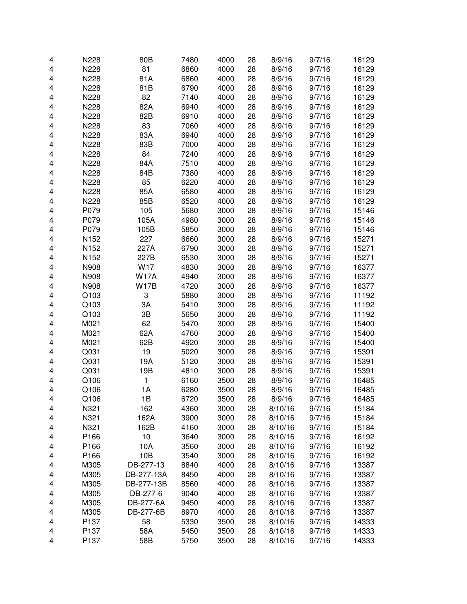| 4 | N228 | 80B         | 7480 | 4000 | 28 | 8/9/16  | 9/7/16 | 16129 |
|---|------|-------------|------|------|----|---------|--------|-------|
| 4 | N228 | 81          | 6860 | 4000 | 28 | 8/9/16  | 9/7/16 | 16129 |
| 4 | N228 | 81A         | 6860 | 4000 | 28 | 8/9/16  | 9/7/16 | 16129 |
| 4 | N228 | 81B         | 6790 | 4000 | 28 | 8/9/16  | 9/7/16 | 16129 |
| 4 | N228 | 82          | 7140 | 4000 | 28 | 8/9/16  | 9/7/16 | 16129 |
| 4 | N228 | 82A         | 6940 | 4000 | 28 | 8/9/16  | 9/7/16 | 16129 |
| 4 | N228 | 82B         | 6910 | 4000 | 28 | 8/9/16  | 9/7/16 | 16129 |
| 4 | N228 | 83          | 7060 | 4000 | 28 | 8/9/16  | 9/7/16 | 16129 |
| 4 | N228 | 83A         | 6940 | 4000 | 28 | 8/9/16  | 9/7/16 | 16129 |
| 4 | N228 | 83B         | 7000 | 4000 | 28 | 8/9/16  | 9/7/16 | 16129 |
| 4 | N228 | 84          | 7240 | 4000 | 28 | 8/9/16  | 9/7/16 | 16129 |
| 4 | N228 | 84A         | 7510 | 4000 | 28 | 8/9/16  | 9/7/16 | 16129 |
| 4 | N228 | 84B         | 7380 | 4000 | 28 | 8/9/16  | 9/7/16 | 16129 |
| 4 | N228 | 85          | 6220 | 4000 | 28 | 8/9/16  | 9/7/16 | 16129 |
| 4 | N228 | 85A         | 6580 | 4000 | 28 | 8/9/16  | 9/7/16 | 16129 |
| 4 | N228 | 85B         | 6520 | 4000 | 28 | 8/9/16  | 9/7/16 | 16129 |
| 4 | P079 | 105         | 5680 | 3000 | 28 | 8/9/16  | 9/7/16 | 15146 |
| 4 | P079 | 105A        | 4980 | 3000 | 28 | 8/9/16  | 9/7/16 | 15146 |
| 4 | P079 | 105B        | 5850 | 3000 | 28 | 8/9/16  | 9/7/16 | 15146 |
| 4 | N152 | 227         | 6660 | 3000 | 28 | 8/9/16  | 9/7/16 | 15271 |
| 4 | N152 | 227A        | 6790 | 3000 | 28 | 8/9/16  | 9/7/16 | 15271 |
| 4 | N152 | 227B        | 6530 | 3000 | 28 | 8/9/16  | 9/7/16 | 15271 |
| 4 | N908 | W17         | 4830 | 3000 | 28 | 8/9/16  | 9/7/16 | 16377 |
| 4 | N908 | <b>W17A</b> | 4940 | 3000 | 28 | 8/9/16  | 9/7/16 | 16377 |
| 4 | N908 | <b>W17B</b> | 4720 | 3000 | 28 | 8/9/16  | 9/7/16 | 16377 |
| 4 | Q103 | 3           | 5880 | 3000 | 28 | 8/9/16  | 9/7/16 | 11192 |
| 4 | Q103 | 3A          | 5410 | 3000 | 28 | 8/9/16  | 9/7/16 | 11192 |
| 4 | Q103 | 3B          | 5650 | 3000 | 28 | 8/9/16  | 9/7/16 | 11192 |
| 4 | M021 | 62          | 5470 | 3000 | 28 | 8/9/16  | 9/7/16 | 15400 |
| 4 | M021 | 62A         | 4760 | 3000 | 28 | 8/9/16  | 9/7/16 | 15400 |
| 4 | M021 | 62B         | 4920 | 3000 | 28 | 8/9/16  | 9/7/16 | 15400 |
| 4 | Q031 | 19          | 5020 | 3000 | 28 | 8/9/16  | 9/7/16 | 15391 |
| 4 | Q031 | 19A         | 5120 | 3000 | 28 | 8/9/16  | 9/7/16 | 15391 |
| 4 | Q031 | 19B         | 4810 | 3000 | 28 | 8/9/16  | 9/7/16 | 15391 |
| 4 | Q106 | 1           | 6160 | 3500 | 28 | 8/9/16  | 9/7/16 | 16485 |
| 4 | Q106 | 1A          | 6280 | 3500 | 28 | 8/9/16  | 9/7/16 | 16485 |
| 4 | Q106 | 1B          | 6720 | 3500 | 28 | 8/9/16  | 9/7/16 | 16485 |
| 4 | N321 | 162         | 4360 | 3000 | 28 | 8/10/16 | 9/7/16 | 15184 |
| 4 | N321 | 162A        | 3900 | 3000 | 28 | 8/10/16 | 9/7/16 | 15184 |
| 4 | N321 | 162B        | 4160 | 3000 | 28 | 8/10/16 | 9/7/16 | 15184 |
| 4 | P166 | 10          | 3640 | 3000 | 28 | 8/10/16 | 9/7/16 | 16192 |
| 4 | P166 | 10A         | 3560 | 3000 | 28 | 8/10/16 | 9/7/16 | 16192 |
| 4 | P166 | 10B         | 3540 | 3000 | 28 | 8/10/16 | 9/7/16 | 16192 |
| 4 | M305 | DB-277-13   | 8840 | 4000 | 28 | 8/10/16 | 9/7/16 | 13387 |
| 4 | M305 | DB-277-13A  | 8450 | 4000 | 28 | 8/10/16 | 9/7/16 | 13387 |
| 4 | M305 | DB-277-13B  | 8560 | 4000 | 28 | 8/10/16 | 9/7/16 | 13387 |
| 4 | M305 | DB-277-6    | 9040 | 4000 | 28 | 8/10/16 | 9/7/16 | 13387 |
| 4 | M305 | DB-277-6A   | 9450 | 4000 | 28 | 8/10/16 | 9/7/16 | 13387 |
| 4 | M305 | DB-277-6B   | 8970 | 4000 | 28 | 8/10/16 | 9/7/16 | 13387 |
| 4 | P137 | 58          | 5330 | 3500 | 28 | 8/10/16 | 9/7/16 | 14333 |
| 4 | P137 | 58A         | 5450 | 3500 | 28 | 8/10/16 | 9/7/16 | 14333 |
| 4 | P137 | 58B         | 5750 | 3500 | 28 | 8/10/16 | 9/7/16 | 14333 |
|   |      |             |      |      |    |         |        |       |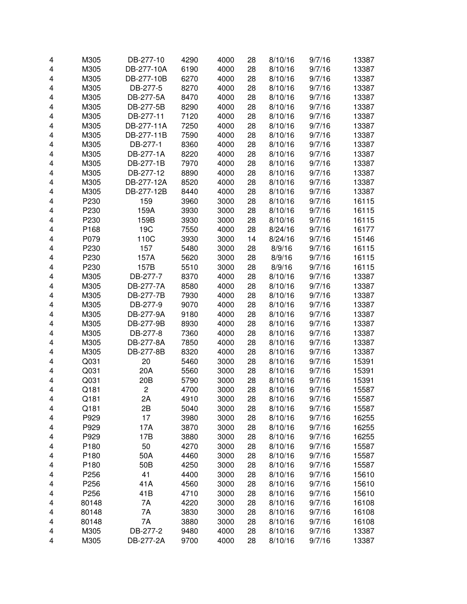| M305<br>6190<br>4000<br>28<br>4<br>DB-277-10A<br>8/10/16<br>9/7/16<br>M305<br>6270<br>4000<br>28<br>4<br>DB-277-10B<br>8/10/16<br>9/7/16<br>DB-277-5<br>8270<br>4000<br>28<br>4<br>M305<br>8/10/16<br>9/7/16<br>8470<br>4000<br>M305<br>DB-277-5A<br>28<br>8/10/16<br>9/7/16<br>4<br>4000<br>4<br>M305<br>DB-277-5B<br>8290<br>28<br>8/10/16<br>9/7/16<br>M305<br>4000<br>4<br>DB-277-11<br>7120<br>28<br>8/10/16<br>9/7/16<br>M305<br>7250<br>4000<br>28<br>4<br>DB-277-11A<br>8/10/16<br>9/7/16<br>M305<br>7590<br>4000<br>28<br>4<br>DB-277-11B<br>8/10/16<br>9/7/16<br>M305<br>DB-277-1<br>8360<br>4000<br>4<br>28<br>8/10/16<br>9/7/16<br>8220<br>4000<br>28<br>4<br>M305<br>DB-277-1A<br>8/10/16<br>9/7/16<br>DB-277-1B<br>7970<br>4000<br>28<br>4<br>M305<br>8/10/16<br>9/7/16<br>DB-277-12<br>4000<br>4<br>M305<br>8890<br>28<br>8/10/16<br>9/7/16<br>DB-277-12A<br>8520<br>4000<br>4<br>M305<br>28<br>8/10/16<br>9/7/16<br>DB-277-12B<br>8440<br>4000<br>4<br>M305<br>28<br>8/10/16<br>9/7/16<br>P230<br>159<br>3960<br>3000<br>28<br>4<br>8/10/16<br>9/7/16<br>P230<br>159A<br>3930<br>3000<br>4<br>28<br>8/10/16<br>9/7/16<br>P230<br>159B<br>3930<br>3000<br>4<br>28<br>8/10/16<br>9/7/16<br>P168<br>19C<br>7550<br>4000<br>28<br>4<br>8/24/16<br>9/7/16<br>P079<br>110C<br>3930<br>3000<br>14<br>4<br>8/24/16<br>9/7/16<br>P230<br>5480<br>3000<br>157<br>28<br>8/9/16<br>9/7/16<br>4<br>P230<br>157A<br>5620<br>3000<br>4<br>28<br>8/9/16<br>9/7/16<br>P230<br>157B<br>5510<br>3000<br>28<br>4<br>8/9/16<br>9/7/16<br>M305<br>DB-277-7<br>8370<br>4000<br>28<br>4<br>8/10/16<br>9/7/16<br>M305<br>8580<br>4000<br>28<br>4<br>DB-277-7A<br>8/10/16<br>9/7/16<br>M305<br>DB-277-7B<br>7930<br>4000<br>28<br>4<br>8/10/16<br>9/7/16<br>M305<br>DB-277-9<br>9070<br>4000<br>28<br>8/10/16<br>4<br>9/7/16<br>9180<br>4000<br>28<br>4<br>M305<br>DB-277-9A<br>8/10/16<br>9/7/16<br>DB-277-9B<br>8930<br>4000<br>28<br>8/10/16<br>4<br>M305<br>9/7/16<br>DB-277-8<br>7360<br>4000<br>8/10/16<br>4<br>M305<br>28<br>9/7/16<br>M305<br>DB-277-8A<br>7850<br>4000<br>8/10/16<br>4<br>28<br>9/7/16<br>M305<br>DB-277-8B<br>8320<br>4000<br>8/10/16<br>4<br>28<br>9/7/16<br>20<br>Q031<br>5460<br>3000<br>28<br>4<br>8/10/16<br>9/7/16<br>Q031<br>20A<br>5560<br>3000<br>8/10/16<br>4<br>28<br>9/7/16<br>Q031<br>20B<br>4<br>5790<br>3000<br>28<br>8/10/16<br>9/7/16 | 13387<br>13387<br>13387<br>13387<br>13387<br>13387<br>13387<br>13387<br>13387<br>13387<br>13387<br>13387<br>13387<br>13387<br>16115<br>16115<br>16115<br>16177<br>15146<br>16115 |
|------------------------------------------------------------------------------------------------------------------------------------------------------------------------------------------------------------------------------------------------------------------------------------------------------------------------------------------------------------------------------------------------------------------------------------------------------------------------------------------------------------------------------------------------------------------------------------------------------------------------------------------------------------------------------------------------------------------------------------------------------------------------------------------------------------------------------------------------------------------------------------------------------------------------------------------------------------------------------------------------------------------------------------------------------------------------------------------------------------------------------------------------------------------------------------------------------------------------------------------------------------------------------------------------------------------------------------------------------------------------------------------------------------------------------------------------------------------------------------------------------------------------------------------------------------------------------------------------------------------------------------------------------------------------------------------------------------------------------------------------------------------------------------------------------------------------------------------------------------------------------------------------------------------------------------------------------------------------------------------------------------------------------------------------------------------------------------------------------------------------------------------------------------------------------------------------------------------------------------------------------------------------------------------------------------------------------------------------------------------------|----------------------------------------------------------------------------------------------------------------------------------------------------------------------------------|
|                                                                                                                                                                                                                                                                                                                                                                                                                                                                                                                                                                                                                                                                                                                                                                                                                                                                                                                                                                                                                                                                                                                                                                                                                                                                                                                                                                                                                                                                                                                                                                                                                                                                                                                                                                                                                                                                                                                                                                                                                                                                                                                                                                                                                                                                                                                                                                        |                                                                                                                                                                                  |
|                                                                                                                                                                                                                                                                                                                                                                                                                                                                                                                                                                                                                                                                                                                                                                                                                                                                                                                                                                                                                                                                                                                                                                                                                                                                                                                                                                                                                                                                                                                                                                                                                                                                                                                                                                                                                                                                                                                                                                                                                                                                                                                                                                                                                                                                                                                                                                        |                                                                                                                                                                                  |
|                                                                                                                                                                                                                                                                                                                                                                                                                                                                                                                                                                                                                                                                                                                                                                                                                                                                                                                                                                                                                                                                                                                                                                                                                                                                                                                                                                                                                                                                                                                                                                                                                                                                                                                                                                                                                                                                                                                                                                                                                                                                                                                                                                                                                                                                                                                                                                        |                                                                                                                                                                                  |
|                                                                                                                                                                                                                                                                                                                                                                                                                                                                                                                                                                                                                                                                                                                                                                                                                                                                                                                                                                                                                                                                                                                                                                                                                                                                                                                                                                                                                                                                                                                                                                                                                                                                                                                                                                                                                                                                                                                                                                                                                                                                                                                                                                                                                                                                                                                                                                        |                                                                                                                                                                                  |
|                                                                                                                                                                                                                                                                                                                                                                                                                                                                                                                                                                                                                                                                                                                                                                                                                                                                                                                                                                                                                                                                                                                                                                                                                                                                                                                                                                                                                                                                                                                                                                                                                                                                                                                                                                                                                                                                                                                                                                                                                                                                                                                                                                                                                                                                                                                                                                        |                                                                                                                                                                                  |
|                                                                                                                                                                                                                                                                                                                                                                                                                                                                                                                                                                                                                                                                                                                                                                                                                                                                                                                                                                                                                                                                                                                                                                                                                                                                                                                                                                                                                                                                                                                                                                                                                                                                                                                                                                                                                                                                                                                                                                                                                                                                                                                                                                                                                                                                                                                                                                        |                                                                                                                                                                                  |
|                                                                                                                                                                                                                                                                                                                                                                                                                                                                                                                                                                                                                                                                                                                                                                                                                                                                                                                                                                                                                                                                                                                                                                                                                                                                                                                                                                                                                                                                                                                                                                                                                                                                                                                                                                                                                                                                                                                                                                                                                                                                                                                                                                                                                                                                                                                                                                        |                                                                                                                                                                                  |
|                                                                                                                                                                                                                                                                                                                                                                                                                                                                                                                                                                                                                                                                                                                                                                                                                                                                                                                                                                                                                                                                                                                                                                                                                                                                                                                                                                                                                                                                                                                                                                                                                                                                                                                                                                                                                                                                                                                                                                                                                                                                                                                                                                                                                                                                                                                                                                        |                                                                                                                                                                                  |
|                                                                                                                                                                                                                                                                                                                                                                                                                                                                                                                                                                                                                                                                                                                                                                                                                                                                                                                                                                                                                                                                                                                                                                                                                                                                                                                                                                                                                                                                                                                                                                                                                                                                                                                                                                                                                                                                                                                                                                                                                                                                                                                                                                                                                                                                                                                                                                        |                                                                                                                                                                                  |
|                                                                                                                                                                                                                                                                                                                                                                                                                                                                                                                                                                                                                                                                                                                                                                                                                                                                                                                                                                                                                                                                                                                                                                                                                                                                                                                                                                                                                                                                                                                                                                                                                                                                                                                                                                                                                                                                                                                                                                                                                                                                                                                                                                                                                                                                                                                                                                        |                                                                                                                                                                                  |
|                                                                                                                                                                                                                                                                                                                                                                                                                                                                                                                                                                                                                                                                                                                                                                                                                                                                                                                                                                                                                                                                                                                                                                                                                                                                                                                                                                                                                                                                                                                                                                                                                                                                                                                                                                                                                                                                                                                                                                                                                                                                                                                                                                                                                                                                                                                                                                        |                                                                                                                                                                                  |
|                                                                                                                                                                                                                                                                                                                                                                                                                                                                                                                                                                                                                                                                                                                                                                                                                                                                                                                                                                                                                                                                                                                                                                                                                                                                                                                                                                                                                                                                                                                                                                                                                                                                                                                                                                                                                                                                                                                                                                                                                                                                                                                                                                                                                                                                                                                                                                        |                                                                                                                                                                                  |
|                                                                                                                                                                                                                                                                                                                                                                                                                                                                                                                                                                                                                                                                                                                                                                                                                                                                                                                                                                                                                                                                                                                                                                                                                                                                                                                                                                                                                                                                                                                                                                                                                                                                                                                                                                                                                                                                                                                                                                                                                                                                                                                                                                                                                                                                                                                                                                        |                                                                                                                                                                                  |
|                                                                                                                                                                                                                                                                                                                                                                                                                                                                                                                                                                                                                                                                                                                                                                                                                                                                                                                                                                                                                                                                                                                                                                                                                                                                                                                                                                                                                                                                                                                                                                                                                                                                                                                                                                                                                                                                                                                                                                                                                                                                                                                                                                                                                                                                                                                                                                        |                                                                                                                                                                                  |
|                                                                                                                                                                                                                                                                                                                                                                                                                                                                                                                                                                                                                                                                                                                                                                                                                                                                                                                                                                                                                                                                                                                                                                                                                                                                                                                                                                                                                                                                                                                                                                                                                                                                                                                                                                                                                                                                                                                                                                                                                                                                                                                                                                                                                                                                                                                                                                        |                                                                                                                                                                                  |
|                                                                                                                                                                                                                                                                                                                                                                                                                                                                                                                                                                                                                                                                                                                                                                                                                                                                                                                                                                                                                                                                                                                                                                                                                                                                                                                                                                                                                                                                                                                                                                                                                                                                                                                                                                                                                                                                                                                                                                                                                                                                                                                                                                                                                                                                                                                                                                        |                                                                                                                                                                                  |
|                                                                                                                                                                                                                                                                                                                                                                                                                                                                                                                                                                                                                                                                                                                                                                                                                                                                                                                                                                                                                                                                                                                                                                                                                                                                                                                                                                                                                                                                                                                                                                                                                                                                                                                                                                                                                                                                                                                                                                                                                                                                                                                                                                                                                                                                                                                                                                        |                                                                                                                                                                                  |
|                                                                                                                                                                                                                                                                                                                                                                                                                                                                                                                                                                                                                                                                                                                                                                                                                                                                                                                                                                                                                                                                                                                                                                                                                                                                                                                                                                                                                                                                                                                                                                                                                                                                                                                                                                                                                                                                                                                                                                                                                                                                                                                                                                                                                                                                                                                                                                        |                                                                                                                                                                                  |
|                                                                                                                                                                                                                                                                                                                                                                                                                                                                                                                                                                                                                                                                                                                                                                                                                                                                                                                                                                                                                                                                                                                                                                                                                                                                                                                                                                                                                                                                                                                                                                                                                                                                                                                                                                                                                                                                                                                                                                                                                                                                                                                                                                                                                                                                                                                                                                        |                                                                                                                                                                                  |
|                                                                                                                                                                                                                                                                                                                                                                                                                                                                                                                                                                                                                                                                                                                                                                                                                                                                                                                                                                                                                                                                                                                                                                                                                                                                                                                                                                                                                                                                                                                                                                                                                                                                                                                                                                                                                                                                                                                                                                                                                                                                                                                                                                                                                                                                                                                                                                        |                                                                                                                                                                                  |
|                                                                                                                                                                                                                                                                                                                                                                                                                                                                                                                                                                                                                                                                                                                                                                                                                                                                                                                                                                                                                                                                                                                                                                                                                                                                                                                                                                                                                                                                                                                                                                                                                                                                                                                                                                                                                                                                                                                                                                                                                                                                                                                                                                                                                                                                                                                                                                        |                                                                                                                                                                                  |
|                                                                                                                                                                                                                                                                                                                                                                                                                                                                                                                                                                                                                                                                                                                                                                                                                                                                                                                                                                                                                                                                                                                                                                                                                                                                                                                                                                                                                                                                                                                                                                                                                                                                                                                                                                                                                                                                                                                                                                                                                                                                                                                                                                                                                                                                                                                                                                        | 16115                                                                                                                                                                            |
|                                                                                                                                                                                                                                                                                                                                                                                                                                                                                                                                                                                                                                                                                                                                                                                                                                                                                                                                                                                                                                                                                                                                                                                                                                                                                                                                                                                                                                                                                                                                                                                                                                                                                                                                                                                                                                                                                                                                                                                                                                                                                                                                                                                                                                                                                                                                                                        | 16115                                                                                                                                                                            |
|                                                                                                                                                                                                                                                                                                                                                                                                                                                                                                                                                                                                                                                                                                                                                                                                                                                                                                                                                                                                                                                                                                                                                                                                                                                                                                                                                                                                                                                                                                                                                                                                                                                                                                                                                                                                                                                                                                                                                                                                                                                                                                                                                                                                                                                                                                                                                                        | 13387                                                                                                                                                                            |
|                                                                                                                                                                                                                                                                                                                                                                                                                                                                                                                                                                                                                                                                                                                                                                                                                                                                                                                                                                                                                                                                                                                                                                                                                                                                                                                                                                                                                                                                                                                                                                                                                                                                                                                                                                                                                                                                                                                                                                                                                                                                                                                                                                                                                                                                                                                                                                        | 13387                                                                                                                                                                            |
|                                                                                                                                                                                                                                                                                                                                                                                                                                                                                                                                                                                                                                                                                                                                                                                                                                                                                                                                                                                                                                                                                                                                                                                                                                                                                                                                                                                                                                                                                                                                                                                                                                                                                                                                                                                                                                                                                                                                                                                                                                                                                                                                                                                                                                                                                                                                                                        | 13387                                                                                                                                                                            |
|                                                                                                                                                                                                                                                                                                                                                                                                                                                                                                                                                                                                                                                                                                                                                                                                                                                                                                                                                                                                                                                                                                                                                                                                                                                                                                                                                                                                                                                                                                                                                                                                                                                                                                                                                                                                                                                                                                                                                                                                                                                                                                                                                                                                                                                                                                                                                                        | 13387                                                                                                                                                                            |
|                                                                                                                                                                                                                                                                                                                                                                                                                                                                                                                                                                                                                                                                                                                                                                                                                                                                                                                                                                                                                                                                                                                                                                                                                                                                                                                                                                                                                                                                                                                                                                                                                                                                                                                                                                                                                                                                                                                                                                                                                                                                                                                                                                                                                                                                                                                                                                        | 13387                                                                                                                                                                            |
|                                                                                                                                                                                                                                                                                                                                                                                                                                                                                                                                                                                                                                                                                                                                                                                                                                                                                                                                                                                                                                                                                                                                                                                                                                                                                                                                                                                                                                                                                                                                                                                                                                                                                                                                                                                                                                                                                                                                                                                                                                                                                                                                                                                                                                                                                                                                                                        | 13387                                                                                                                                                                            |
|                                                                                                                                                                                                                                                                                                                                                                                                                                                                                                                                                                                                                                                                                                                                                                                                                                                                                                                                                                                                                                                                                                                                                                                                                                                                                                                                                                                                                                                                                                                                                                                                                                                                                                                                                                                                                                                                                                                                                                                                                                                                                                                                                                                                                                                                                                                                                                        | 13387                                                                                                                                                                            |
|                                                                                                                                                                                                                                                                                                                                                                                                                                                                                                                                                                                                                                                                                                                                                                                                                                                                                                                                                                                                                                                                                                                                                                                                                                                                                                                                                                                                                                                                                                                                                                                                                                                                                                                                                                                                                                                                                                                                                                                                                                                                                                                                                                                                                                                                                                                                                                        | 13387                                                                                                                                                                            |
|                                                                                                                                                                                                                                                                                                                                                                                                                                                                                                                                                                                                                                                                                                                                                                                                                                                                                                                                                                                                                                                                                                                                                                                                                                                                                                                                                                                                                                                                                                                                                                                                                                                                                                                                                                                                                                                                                                                                                                                                                                                                                                                                                                                                                                                                                                                                                                        | 13387                                                                                                                                                                            |
|                                                                                                                                                                                                                                                                                                                                                                                                                                                                                                                                                                                                                                                                                                                                                                                                                                                                                                                                                                                                                                                                                                                                                                                                                                                                                                                                                                                                                                                                                                                                                                                                                                                                                                                                                                                                                                                                                                                                                                                                                                                                                                                                                                                                                                                                                                                                                                        | 15391                                                                                                                                                                            |
|                                                                                                                                                                                                                                                                                                                                                                                                                                                                                                                                                                                                                                                                                                                                                                                                                                                                                                                                                                                                                                                                                                                                                                                                                                                                                                                                                                                                                                                                                                                                                                                                                                                                                                                                                                                                                                                                                                                                                                                                                                                                                                                                                                                                                                                                                                                                                                        | 15391                                                                                                                                                                            |
|                                                                                                                                                                                                                                                                                                                                                                                                                                                                                                                                                                                                                                                                                                                                                                                                                                                                                                                                                                                                                                                                                                                                                                                                                                                                                                                                                                                                                                                                                                                                                                                                                                                                                                                                                                                                                                                                                                                                                                                                                                                                                                                                                                                                                                                                                                                                                                        | 15391                                                                                                                                                                            |
| Q181<br>$\overline{\mathbf{c}}$<br>4700<br>3000<br>28<br>4<br>8/10/16<br>9/7/16                                                                                                                                                                                                                                                                                                                                                                                                                                                                                                                                                                                                                                                                                                                                                                                                                                                                                                                                                                                                                                                                                                                                                                                                                                                                                                                                                                                                                                                                                                                                                                                                                                                                                                                                                                                                                                                                                                                                                                                                                                                                                                                                                                                                                                                                                        | 15587                                                                                                                                                                            |
| 4<br>Q181<br>2Α<br>4910<br>3000<br>28<br>8/10/16<br>9/7/16                                                                                                                                                                                                                                                                                                                                                                                                                                                                                                                                                                                                                                                                                                                                                                                                                                                                                                                                                                                                                                                                                                                                                                                                                                                                                                                                                                                                                                                                                                                                                                                                                                                                                                                                                                                                                                                                                                                                                                                                                                                                                                                                                                                                                                                                                                             | 15587                                                                                                                                                                            |
| 2B<br>5040<br>Q181<br>3000<br>28<br>8/10/16<br>9/7/16<br>4                                                                                                                                                                                                                                                                                                                                                                                                                                                                                                                                                                                                                                                                                                                                                                                                                                                                                                                                                                                                                                                                                                                                                                                                                                                                                                                                                                                                                                                                                                                                                                                                                                                                                                                                                                                                                                                                                                                                                                                                                                                                                                                                                                                                                                                                                                             | 15587                                                                                                                                                                            |
| P929<br>17<br>3980<br>3000<br>28<br>8/10/16<br>9/7/16<br>4                                                                                                                                                                                                                                                                                                                                                                                                                                                                                                                                                                                                                                                                                                                                                                                                                                                                                                                                                                                                                                                                                                                                                                                                                                                                                                                                                                                                                                                                                                                                                                                                                                                                                                                                                                                                                                                                                                                                                                                                                                                                                                                                                                                                                                                                                                             | 16255                                                                                                                                                                            |
| P929<br>3870<br>3000<br>28<br>17A<br>8/10/16<br>9/7/16<br>4                                                                                                                                                                                                                                                                                                                                                                                                                                                                                                                                                                                                                                                                                                                                                                                                                                                                                                                                                                                                                                                                                                                                                                                                                                                                                                                                                                                                                                                                                                                                                                                                                                                                                                                                                                                                                                                                                                                                                                                                                                                                                                                                                                                                                                                                                                            | 16255                                                                                                                                                                            |
| P929<br>17B<br>3880<br>3000<br>28<br>8/10/16<br>9/7/16<br>4                                                                                                                                                                                                                                                                                                                                                                                                                                                                                                                                                                                                                                                                                                                                                                                                                                                                                                                                                                                                                                                                                                                                                                                                                                                                                                                                                                                                                                                                                                                                                                                                                                                                                                                                                                                                                                                                                                                                                                                                                                                                                                                                                                                                                                                                                                            | 16255                                                                                                                                                                            |
| 50<br>P180<br>4270<br>3000<br>28<br>8/10/16<br>9/7/16<br>4                                                                                                                                                                                                                                                                                                                                                                                                                                                                                                                                                                                                                                                                                                                                                                                                                                                                                                                                                                                                                                                                                                                                                                                                                                                                                                                                                                                                                                                                                                                                                                                                                                                                                                                                                                                                                                                                                                                                                                                                                                                                                                                                                                                                                                                                                                             | 15587                                                                                                                                                                            |
| 50A<br>4460<br>3000<br>28<br>P180<br>8/10/16<br>9/7/16<br>4                                                                                                                                                                                                                                                                                                                                                                                                                                                                                                                                                                                                                                                                                                                                                                                                                                                                                                                                                                                                                                                                                                                                                                                                                                                                                                                                                                                                                                                                                                                                                                                                                                                                                                                                                                                                                                                                                                                                                                                                                                                                                                                                                                                                                                                                                                            | 15587                                                                                                                                                                            |
| 50 <sub>B</sub><br>P180<br>4250<br>3000<br>28<br>8/10/16<br>9/7/16<br>4                                                                                                                                                                                                                                                                                                                                                                                                                                                                                                                                                                                                                                                                                                                                                                                                                                                                                                                                                                                                                                                                                                                                                                                                                                                                                                                                                                                                                                                                                                                                                                                                                                                                                                                                                                                                                                                                                                                                                                                                                                                                                                                                                                                                                                                                                                | 15587                                                                                                                                                                            |
| 41<br>P256<br>4400<br>3000<br>28<br>8/10/16<br>9/7/16<br>4                                                                                                                                                                                                                                                                                                                                                                                                                                                                                                                                                                                                                                                                                                                                                                                                                                                                                                                                                                                                                                                                                                                                                                                                                                                                                                                                                                                                                                                                                                                                                                                                                                                                                                                                                                                                                                                                                                                                                                                                                                                                                                                                                                                                                                                                                                             | 15610                                                                                                                                                                            |
| P256<br>41A<br>3000<br>4560<br>28<br>8/10/16<br>9/7/16<br>4                                                                                                                                                                                                                                                                                                                                                                                                                                                                                                                                                                                                                                                                                                                                                                                                                                                                                                                                                                                                                                                                                                                                                                                                                                                                                                                                                                                                                                                                                                                                                                                                                                                                                                                                                                                                                                                                                                                                                                                                                                                                                                                                                                                                                                                                                                            | 15610                                                                                                                                                                            |
| P256<br>4710<br>3000<br>41B<br>28<br>8/10/16<br>9/7/16<br>4                                                                                                                                                                                                                                                                                                                                                                                                                                                                                                                                                                                                                                                                                                                                                                                                                                                                                                                                                                                                                                                                                                                                                                                                                                                                                                                                                                                                                                                                                                                                                                                                                                                                                                                                                                                                                                                                                                                                                                                                                                                                                                                                                                                                                                                                                                            | 15610                                                                                                                                                                            |
| 7A<br>3000<br>28<br>8/10/16<br>4<br>80148<br>4220<br>9/7/16                                                                                                                                                                                                                                                                                                                                                                                                                                                                                                                                                                                                                                                                                                                                                                                                                                                                                                                                                                                                                                                                                                                                                                                                                                                                                                                                                                                                                                                                                                                                                                                                                                                                                                                                                                                                                                                                                                                                                                                                                                                                                                                                                                                                                                                                                                            | 16108                                                                                                                                                                            |
| 7A<br>3000<br>28<br>4<br>80148<br>3830<br>8/10/16<br>9/7/16                                                                                                                                                                                                                                                                                                                                                                                                                                                                                                                                                                                                                                                                                                                                                                                                                                                                                                                                                                                                                                                                                                                                                                                                                                                                                                                                                                                                                                                                                                                                                                                                                                                                                                                                                                                                                                                                                                                                                                                                                                                                                                                                                                                                                                                                                                            |                                                                                                                                                                                  |
| 7A<br>3880<br>3000<br>80148<br>28<br>8/10/16<br>9/7/16<br>4                                                                                                                                                                                                                                                                                                                                                                                                                                                                                                                                                                                                                                                                                                                                                                                                                                                                                                                                                                                                                                                                                                                                                                                                                                                                                                                                                                                                                                                                                                                                                                                                                                                                                                                                                                                                                                                                                                                                                                                                                                                                                                                                                                                                                                                                                                            |                                                                                                                                                                                  |
| DB-277-2<br>9480<br>4000<br>M305<br>28<br>8/10/16<br>9/7/16<br>4                                                                                                                                                                                                                                                                                                                                                                                                                                                                                                                                                                                                                                                                                                                                                                                                                                                                                                                                                                                                                                                                                                                                                                                                                                                                                                                                                                                                                                                                                                                                                                                                                                                                                                                                                                                                                                                                                                                                                                                                                                                                                                                                                                                                                                                                                                       | 16108                                                                                                                                                                            |
| M305<br>9700<br>4000<br>28<br>8/10/16<br>9/7/16<br>4<br>DB-277-2A                                                                                                                                                                                                                                                                                                                                                                                                                                                                                                                                                                                                                                                                                                                                                                                                                                                                                                                                                                                                                                                                                                                                                                                                                                                                                                                                                                                                                                                                                                                                                                                                                                                                                                                                                                                                                                                                                                                                                                                                                                                                                                                                                                                                                                                                                                      | 16108<br>13387                                                                                                                                                                   |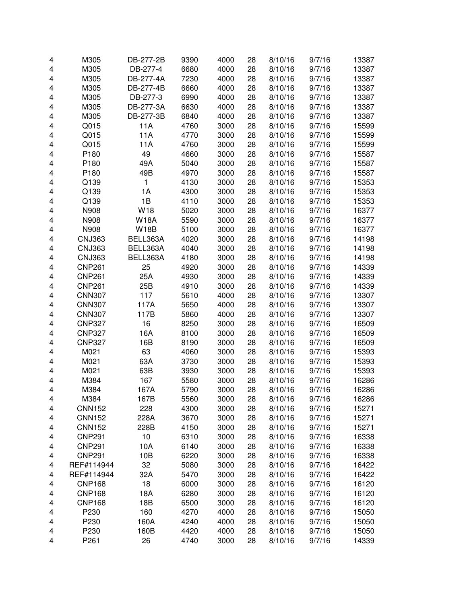| 4                       | M305          | DB-277-2B   | 9390 | 4000 | 28 | 8/10/16 | 9/7/16 | 13387 |
|-------------------------|---------------|-------------|------|------|----|---------|--------|-------|
| $\overline{\mathbf{4}}$ | M305          | DB-277-4    | 6680 | 4000 | 28 | 8/10/16 | 9/7/16 | 13387 |
| 4                       | M305          | DB-277-4A   | 7230 | 4000 | 28 | 8/10/16 | 9/7/16 | 13387 |
| 4                       | M305          | DB-277-4B   | 6660 | 4000 | 28 | 8/10/16 | 9/7/16 | 13387 |
| 4                       | M305          | DB-277-3    | 6990 | 4000 | 28 | 8/10/16 | 9/7/16 | 13387 |
| 4                       | M305          | DB-277-3A   | 6630 | 4000 | 28 | 8/10/16 | 9/7/16 | 13387 |
| 4                       | M305          | DB-277-3B   | 6840 | 4000 | 28 | 8/10/16 | 9/7/16 | 13387 |
| 4                       | Q015          | 11A         | 4760 | 3000 | 28 | 8/10/16 | 9/7/16 | 15599 |
|                         |               |             |      |      |    |         |        |       |
| 4                       | Q015          | 11A         | 4770 | 3000 | 28 | 8/10/16 | 9/7/16 | 15599 |
| 4                       | Q015          | 11A         | 4760 | 3000 | 28 | 8/10/16 | 9/7/16 | 15599 |
| 4                       | P180          | 49          | 4660 | 3000 | 28 | 8/10/16 | 9/7/16 | 15587 |
| 4                       | P180          | 49A         | 5040 | 3000 | 28 | 8/10/16 | 9/7/16 | 15587 |
| 4                       | P180          | 49B         | 4970 | 3000 | 28 | 8/10/16 | 9/7/16 | 15587 |
| 4                       | Q139          | 1           | 4130 | 3000 | 28 | 8/10/16 | 9/7/16 | 15353 |
| $\overline{\mathbf{4}}$ | Q139          | 1A          | 4300 | 3000 | 28 | 8/10/16 | 9/7/16 | 15353 |
| $\overline{\mathbf{4}}$ | Q139          | 1B          | 4110 | 3000 | 28 | 8/10/16 | 9/7/16 | 15353 |
| 4                       | N908          | W18         | 5020 | 3000 | 28 | 8/10/16 | 9/7/16 | 16377 |
| 4                       | N908          | <b>W18A</b> | 5590 | 3000 | 28 | 8/10/16 | 9/7/16 | 16377 |
| $\overline{\mathbf{4}}$ | N908          | <b>W18B</b> | 5100 | 3000 | 28 | 8/10/16 | 9/7/16 | 16377 |
| 4                       | <b>CNJ363</b> | BELL363A    | 4020 | 3000 | 28 | 8/10/16 | 9/7/16 | 14198 |
| 4                       | <b>CNJ363</b> | BELL363A    | 4040 | 3000 | 28 | 8/10/16 | 9/7/16 | 14198 |
| 4                       | <b>CNJ363</b> | BELL363A    | 4180 | 3000 | 28 | 8/10/16 | 9/7/16 | 14198 |
| 4                       | <b>CNP261</b> | 25          | 4920 | 3000 | 28 | 8/10/16 | 9/7/16 | 14339 |
| 4                       | <b>CNP261</b> | 25A         | 4930 | 3000 | 28 | 8/10/16 | 9/7/16 | 14339 |
| 4                       | <b>CNP261</b> | 25B         | 4910 | 3000 | 28 | 8/10/16 | 9/7/16 | 14339 |
| 4                       | <b>CNN307</b> | 117         | 5610 | 4000 | 28 | 8/10/16 | 9/7/16 | 13307 |
| 4                       | <b>CNN307</b> | 117A        | 5650 | 4000 | 28 | 8/10/16 | 9/7/16 | 13307 |
| 4                       | <b>CNN307</b> | 117B        | 5860 | 4000 | 28 | 8/10/16 | 9/7/16 | 13307 |
| 4                       | <b>CNP327</b> | 16          | 8250 | 3000 | 28 | 8/10/16 | 9/7/16 | 16509 |
| 4                       | <b>CNP327</b> | 16A         | 8100 | 3000 | 28 | 8/10/16 | 9/7/16 | 16509 |
| 4                       | <b>CNP327</b> | 16B         | 8190 | 3000 | 28 | 8/10/16 | 9/7/16 | 16509 |
| $\overline{\mathbf{4}}$ | M021          | 63          | 4060 | 3000 | 28 | 8/10/16 | 9/7/16 | 15393 |
| $\overline{\mathbf{4}}$ | M021          |             | 3730 | 3000 |    |         |        |       |
|                         |               | 63A         |      |      | 28 | 8/10/16 | 9/7/16 | 15393 |
| 4                       | M021          | 63B         | 3930 | 3000 | 28 | 8/10/16 | 9/7/16 | 15393 |
| 4                       | M384          | 167         | 5580 | 3000 | 28 | 8/10/16 | 9/7/16 | 16286 |
| 4                       | M384          | 167A        | 5790 | 3000 | 28 | 8/10/16 | 9/7/16 | 16286 |
| 4                       | M384          | 167B        | 5560 | 3000 | 28 | 8/10/16 | 9/7/16 | 16286 |
| 4                       | <b>CNN152</b> | 228         | 4300 | 3000 | 28 | 8/10/16 | 9/7/16 | 15271 |
| 4                       | <b>CNN152</b> | 228A        | 3670 | 3000 | 28 | 8/10/16 | 9/7/16 | 15271 |
| 4                       | <b>CNN152</b> | 228B        | 4150 | 3000 | 28 | 8/10/16 | 9/7/16 | 15271 |
| 4                       | <b>CNP291</b> | 10          | 6310 | 3000 | 28 | 8/10/16 | 9/7/16 | 16338 |
| 4                       | <b>CNP291</b> | 10A         | 6140 | 3000 | 28 | 8/10/16 | 9/7/16 | 16338 |
| 4                       | <b>CNP291</b> | 10B         | 6220 | 3000 | 28 | 8/10/16 | 9/7/16 | 16338 |
| 4                       | REF#114944    | 32          | 5080 | 3000 | 28 | 8/10/16 | 9/7/16 | 16422 |
| 4                       | REF#114944    | 32A         | 5470 | 3000 | 28 | 8/10/16 | 9/7/16 | 16422 |
| 4                       | <b>CNP168</b> | 18          | 6000 | 3000 | 28 | 8/10/16 | 9/7/16 | 16120 |
| 4                       | <b>CNP168</b> | 18A         | 6280 | 3000 | 28 | 8/10/16 | 9/7/16 | 16120 |
| 4                       | <b>CNP168</b> | 18B         | 6500 | 3000 | 28 | 8/10/16 | 9/7/16 | 16120 |
| 4                       | P230          | 160         | 4270 | 4000 | 28 | 8/10/16 | 9/7/16 | 15050 |
| 4                       | P230          | 160A        | 4240 | 4000 | 28 | 8/10/16 | 9/7/16 | 15050 |
| 4                       | P230          | 160B        | 4420 | 4000 | 28 | 8/10/16 | 9/7/16 | 15050 |
| 4                       | P261          | 26          | 4740 | 3000 | 28 | 8/10/16 | 9/7/16 | 14339 |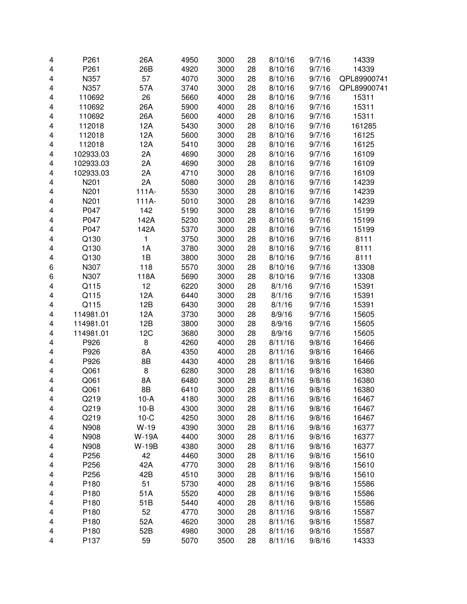| 4                       | P261      | 26A          | 4950 | 3000 | 28 | 8/10/16 | 9/7/16 | 14339       |
|-------------------------|-----------|--------------|------|------|----|---------|--------|-------------|
|                         |           |              |      | 3000 |    |         |        |             |
| $\overline{\mathbf{4}}$ | P261      | 26B          | 4920 |      | 28 | 8/10/16 | 9/7/16 | 14339       |
| 4                       | N357      | 57           | 4070 | 3000 | 28 | 8/10/16 | 9/7/16 | QPL89900741 |
| 4                       | N357      | 57A          | 3740 | 3000 | 28 | 8/10/16 | 9/7/16 | QPL89900741 |
| 4                       | 110692    | 26           | 5660 | 4000 | 28 | 8/10/16 | 9/7/16 | 15311       |
| 4                       | 110692    | 26A          | 5900 | 4000 | 28 | 8/10/16 | 9/7/16 | 15311       |
| 4                       | 110692    | 26A          | 5600 | 4000 | 28 | 8/10/16 | 9/7/16 | 15311       |
| 4                       | 112018    | 12A          | 5430 | 3000 | 28 | 8/10/16 | 9/7/16 | 161285      |
| 4                       | 112018    | 12A          | 5600 | 3000 | 28 | 8/10/16 | 9/7/16 | 16125       |
| $\overline{\mathbf{4}}$ | 112018    | 12A          | 5410 | 3000 | 28 | 8/10/16 | 9/7/16 | 16125       |
| $\overline{\mathbf{4}}$ | 102933.03 | 2A           | 4690 | 3000 | 28 | 8/10/16 | 9/7/16 | 16109       |
| 4                       | 102933.03 | 2A           | 4690 | 3000 | 28 | 8/10/16 | 9/7/16 | 16109       |
| 4                       | 102933.03 | 2A           | 4710 | 3000 | 28 | 8/10/16 | 9/7/16 | 16109       |
| 4                       | N201      | 2A           | 5080 | 3000 | 28 | 8/10/16 | 9/7/16 | 14239       |
| 4                       | N201      | $111A-$      | 5530 | 3000 | 28 | 8/10/16 | 9/7/16 | 14239       |
| $\overline{\mathbf{4}}$ | N201      | $111A-$      | 5010 | 3000 | 28 | 8/10/16 | 9/7/16 | 14239       |
| 4                       | P047      | 142          | 5190 | 3000 | 28 | 8/10/16 | 9/7/16 | 15199       |
| $\overline{\mathbf{4}}$ | P047      | 142A         | 5230 | 3000 | 28 | 8/10/16 | 9/7/16 | 15199       |
| $\overline{\mathbf{4}}$ | P047      | 142A         | 5370 | 3000 | 28 | 8/10/16 | 9/7/16 | 15199       |
| 4                       | Q130      | 1            | 3750 | 3000 | 28 | 8/10/16 | 9/7/16 | 8111        |
| 4                       | Q130      | 1A           | 3780 | 3000 | 28 | 8/10/16 | 9/7/16 | 8111        |
| 4                       | Q130      | 1B           | 3800 | 3000 | 28 | 8/10/16 | 9/7/16 | 8111        |
| 6                       | N307      | 118          | 5570 | 3000 | 28 | 8/10/16 | 9/7/16 | 13308       |
| 6                       | N307      | 118A         | 5690 | 3000 | 28 | 8/10/16 | 9/7/16 | 13308       |
| 4                       | Q115      | 12           | 6220 | 3000 | 28 | 8/1/16  | 9/7/16 | 15391       |
| $\overline{\mathbf{4}}$ | Q115      | 12A          | 6440 | 3000 | 28 | 8/1/16  | 9/7/16 | 15391       |
| $\overline{\mathbf{4}}$ | Q115      | 12B          | 6430 | 3000 | 28 | 8/1/16  | 9/7/16 | 15391       |
| 4                       | 114981.01 | 12A          | 3730 | 3000 | 28 | 8/9/16  | 9/7/16 | 15605       |
| 4                       | 114981.01 | 12B          | 3800 | 3000 | 28 | 8/9/16  | 9/7/16 | 15605       |
| 4                       | 114981.01 | 12C          | 3680 | 3000 | 28 | 8/9/16  | 9/7/16 | 15605       |
| 4                       | P926      | 8            | 4260 | 4000 | 28 | 8/11/16 | 9/8/16 | 16466       |
| 4                       | P926      | 8A           | 4350 | 4000 | 28 | 8/11/16 | 9/8/16 | 16466       |
| 4                       | P926      | 8B           | 4430 | 4000 | 28 | 8/11/16 | 9/8/16 | 16466       |
| 4                       | Q061      | 8            | 6280 | 3000 | 28 | 8/11/16 | 9/8/16 | 16380       |
| $\overline{\mathbf{4}}$ | Q061      | 8A           | 6480 | 3000 | 28 | 8/11/16 | 9/8/16 | 16380       |
| 4                       | Q061      | 8B           | 6410 | 3000 | 28 | 8/11/16 | 9/8/16 | 16380       |
| 4                       | Q219      | 10-A         | 4180 | 3000 | 28 | 8/11/16 | 9/8/16 | 16467       |
| 4                       | Q219      | $10-B$       | 4300 | 3000 | 28 | 8/11/16 | 9/8/16 | 16467       |
| 4                       | Q219      | $10-C$       | 4250 | 3000 | 28 | 8/11/16 | 9/8/16 | 16467       |
| 4                       | N908      | $W-19$       | 4390 | 3000 | 28 | 8/11/16 | 9/8/16 | 16377       |
| 4                       | N908      | <b>W-19A</b> | 4400 | 3000 | 28 | 8/11/16 | 9/8/16 | 16377       |
| 4                       | N908      | <b>W-19B</b> | 4380 | 3000 | 28 | 8/11/16 | 9/8/16 | 16377       |
| 4                       | P256      | 42           | 4460 | 3000 | 28 | 8/11/16 | 9/8/16 | 15610       |
| 4                       | P256      | 42A          | 4770 | 3000 | 28 | 8/11/16 | 9/8/16 | 15610       |
| 4                       | P256      | 42B          | 4510 | 3000 | 28 | 8/11/16 | 9/8/16 | 15610       |
| 4                       | P180      | 51           | 5730 | 4000 | 28 | 8/11/16 | 9/8/16 | 15586       |
| 4                       | P180      | 51A          | 5520 | 4000 | 28 | 8/11/16 | 9/8/16 | 15586       |
| 4                       | P180      | 51B          | 5440 | 4000 | 28 | 8/11/16 | 9/8/16 | 15586       |
| 4                       | P180      | 52           | 4770 | 3000 | 28 | 8/11/16 | 9/8/16 | 15587       |
| 4                       | P180      | 52A          | 4620 | 3000 | 28 | 8/11/16 | 9/8/16 | 15587       |
| 4                       | P180      | 52B          | 4980 | 3000 | 28 | 8/11/16 | 9/8/16 | 15587       |
| 4                       | P137      | 59           | 5070 | 3500 | 28 | 8/11/16 | 9/8/16 | 14333       |
|                         |           |              |      |      |    |         |        |             |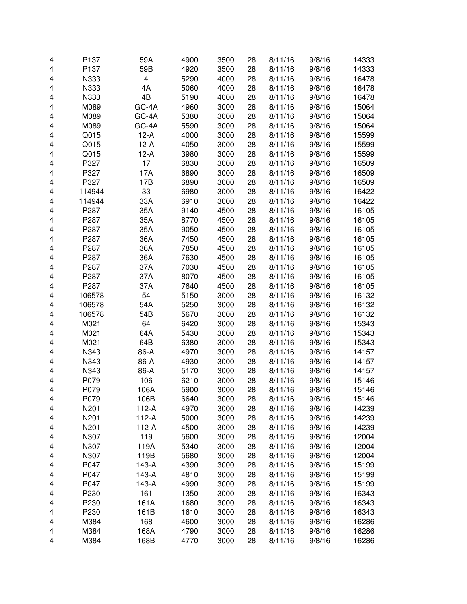| 4 | P137   | 59A     | 4900 | 3500 | 28 | 8/11/16 | 9/8/16 | 14333 |
|---|--------|---------|------|------|----|---------|--------|-------|
| 4 | P137   | 59B     | 4920 | 3500 | 28 | 8/11/16 | 9/8/16 | 14333 |
| 4 | N333   | 4       | 5290 | 4000 | 28 | 8/11/16 | 9/8/16 | 16478 |
| 4 | N333   | 4A      | 5060 | 4000 | 28 | 8/11/16 | 9/8/16 | 16478 |
| 4 | N333   | 4B      | 5190 | 4000 | 28 | 8/11/16 | 9/8/16 | 16478 |
| 4 | M089   | GC-4A   | 4960 | 3000 | 28 | 8/11/16 | 9/8/16 | 15064 |
| 4 | M089   | GC-4A   | 5380 | 3000 | 28 | 8/11/16 | 9/8/16 | 15064 |
| 4 | M089   | GC-4A   | 5590 | 3000 | 28 | 8/11/16 | 9/8/16 | 15064 |
| 4 | Q015   | $12-A$  | 4000 | 3000 | 28 | 8/11/16 | 9/8/16 | 15599 |
| 4 | Q015   | $12-A$  | 4050 | 3000 | 28 | 8/11/16 | 9/8/16 | 15599 |
| 4 | Q015   | $12-A$  | 3980 | 3000 | 28 | 8/11/16 | 9/8/16 | 15599 |
| 4 | P327   | 17      | 6830 | 3000 | 28 | 8/11/16 | 9/8/16 | 16509 |
| 4 | P327   | 17A     | 6890 | 3000 | 28 | 8/11/16 | 9/8/16 | 16509 |
| 4 | P327   | 17B     | 6890 | 3000 | 28 | 8/11/16 | 9/8/16 | 16509 |
| 4 | 114944 | 33      | 6980 | 3000 | 28 | 8/11/16 | 9/8/16 | 16422 |
| 4 | 114944 | 33A     | 6910 | 3000 | 28 | 8/11/16 | 9/8/16 | 16422 |
| 4 | P287   | 35A     | 9140 | 4500 | 28 | 8/11/16 | 9/8/16 | 16105 |
| 4 | P287   | 35A     | 8770 | 4500 | 28 | 8/11/16 | 9/8/16 | 16105 |
| 4 | P287   | 35A     | 9050 | 4500 | 28 | 8/11/16 | 9/8/16 | 16105 |
| 4 | P287   | 36A     | 7450 | 4500 | 28 | 8/11/16 | 9/8/16 | 16105 |
| 4 | P287   | 36A     | 7850 | 4500 | 28 | 8/11/16 | 9/8/16 | 16105 |
| 4 | P287   | 36A     | 7630 | 4500 | 28 | 8/11/16 | 9/8/16 | 16105 |
| 4 | P287   | 37A     | 7030 | 4500 | 28 | 8/11/16 | 9/8/16 | 16105 |
| 4 | P287   | 37A     | 8070 | 4500 | 28 | 8/11/16 | 9/8/16 | 16105 |
| 4 | P287   | 37A     | 7640 | 4500 | 28 | 8/11/16 | 9/8/16 | 16105 |
| 4 | 106578 | 54      | 5150 | 3000 | 28 | 8/11/16 | 9/8/16 | 16132 |
| 4 | 106578 | 54A     | 5250 | 3000 | 28 | 8/11/16 | 9/8/16 | 16132 |
| 4 | 106578 | 54B     | 5670 | 3000 | 28 | 8/11/16 | 9/8/16 | 16132 |
| 4 | M021   | 64      | 6420 | 3000 | 28 | 8/11/16 | 9/8/16 | 15343 |
| 4 | M021   | 64A     | 5430 | 3000 | 28 | 8/11/16 | 9/8/16 | 15343 |
| 4 | M021   | 64B     | 6380 | 3000 | 28 | 8/11/16 | 9/8/16 | 15343 |
| 4 | N343   | 86-A    | 4970 | 3000 | 28 | 8/11/16 | 9/8/16 | 14157 |
| 4 | N343   | 86-A    | 4930 | 3000 | 28 | 8/11/16 | 9/8/16 | 14157 |
| 4 | N343   | 86-A    | 5170 | 3000 | 28 | 8/11/16 | 9/8/16 | 14157 |
| 4 | P079   | 106     | 6210 | 3000 | 28 | 8/11/16 | 9/8/16 | 15146 |
| 4 | P079   | 106A    | 5900 | 3000 | 28 | 8/11/16 | 9/8/16 | 15146 |
| 4 | P079   | 106B    | 6640 | 3000 | 28 | 8/11/16 | 9/8/16 | 15146 |
| 4 | N201   | $112-A$ | 4970 | 3000 | 28 | 8/11/16 | 9/8/16 | 14239 |
| 4 | N201   | $112-A$ | 5000 | 3000 | 28 | 8/11/16 | 9/8/16 | 14239 |
| 4 | N201   | $112-A$ | 4500 | 3000 | 28 | 8/11/16 | 9/8/16 | 14239 |
| 4 | N307   | 119     | 5600 | 3000 | 28 | 8/11/16 | 9/8/16 | 12004 |
| 4 | N307   | 119A    | 5340 | 3000 | 28 | 8/11/16 | 9/8/16 | 12004 |
| 4 | N307   | 119B    | 5680 | 3000 | 28 | 8/11/16 | 9/8/16 | 12004 |
| 4 | P047   | 143-A   | 4390 | 3000 | 28 | 8/11/16 | 9/8/16 | 15199 |
| 4 | P047   | 143-A   | 4810 | 3000 | 28 | 8/11/16 | 9/8/16 | 15199 |
| 4 | P047   | 143-A   | 4990 | 3000 | 28 | 8/11/16 | 9/8/16 | 15199 |
| 4 | P230   | 161     | 1350 | 3000 | 28 | 8/11/16 | 9/8/16 | 16343 |
| 4 | P230   | 161A    | 1680 | 3000 | 28 | 8/11/16 | 9/8/16 | 16343 |
| 4 | P230   | 161B    | 1610 | 3000 | 28 | 8/11/16 | 9/8/16 | 16343 |
| 4 | M384   | 168     | 4600 | 3000 | 28 | 8/11/16 | 9/8/16 | 16286 |
| 4 | M384   | 168A    | 4790 | 3000 | 28 | 8/11/16 | 9/8/16 | 16286 |
| 4 | M384   | 168B    | 4770 | 3000 | 28 | 8/11/16 | 9/8/16 | 16286 |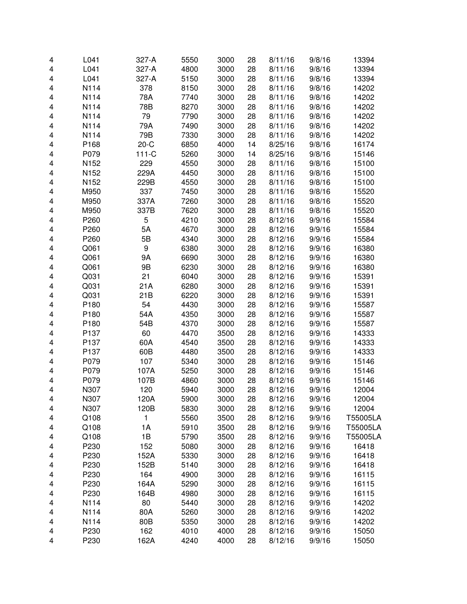|   | L041             | 327-A   | 5550 | 3000 | 28 | 8/11/16 | 9/8/16 | 13394    |
|---|------------------|---------|------|------|----|---------|--------|----------|
| 4 |                  |         |      |      |    |         |        |          |
| 4 | L041             | 327-A   | 4800 | 3000 | 28 | 8/11/16 | 9/8/16 | 13394    |
| 4 | L041             | 327-A   | 5150 | 3000 | 28 | 8/11/16 | 9/8/16 | 13394    |
| 4 | N114             | 378     | 8150 | 3000 | 28 | 8/11/16 | 9/8/16 | 14202    |
| 4 | N114             | 78A     | 7740 | 3000 | 28 | 8/11/16 | 9/8/16 | 14202    |
| 4 | N114             | 78B     | 8270 | 3000 | 28 | 8/11/16 | 9/8/16 | 14202    |
| 4 | N114             | 79      | 7790 | 3000 | 28 | 8/11/16 | 9/8/16 | 14202    |
| 4 | N114             | 79A     | 7490 | 3000 | 28 | 8/11/16 | 9/8/16 | 14202    |
| 4 | N114             | 79B     | 7330 | 3000 | 28 | 8/11/16 | 9/8/16 | 14202    |
| 4 | P168             | $20-C$  | 6850 | 4000 | 14 | 8/25/16 | 9/8/16 | 16174    |
| 4 | P079             | $111-C$ | 5260 | 3000 | 14 | 8/25/16 | 9/8/16 | 15146    |
| 4 | N <sub>152</sub> | 229     | 4550 | 3000 | 28 | 8/11/16 | 9/8/16 | 15100    |
| 4 | N <sub>152</sub> | 229A    | 4450 | 3000 | 28 | 8/11/16 | 9/8/16 | 15100    |
| 4 | N <sub>152</sub> | 229B    | 4550 | 3000 | 28 | 8/11/16 | 9/8/16 | 15100    |
| 4 | M950             | 337     | 7450 | 3000 | 28 | 8/11/16 | 9/8/16 | 15520    |
| 4 | M950             | 337A    | 7260 | 3000 | 28 | 8/11/16 | 9/8/16 | 15520    |
| 4 | M950             | 337B    | 7620 | 3000 | 28 | 8/11/16 | 9/8/16 | 15520    |
| 4 | P260             | 5       | 4210 | 3000 | 28 | 8/12/16 | 9/9/16 | 15584    |
| 4 | P260             | 5A      | 4670 | 3000 | 28 | 8/12/16 | 9/9/16 | 15584    |
| 4 | P260             | 5B      | 4340 | 3000 | 28 | 8/12/16 | 9/9/16 | 15584    |
| 4 | Q061             | 9       | 6380 | 3000 | 28 | 8/12/16 | 9/9/16 | 16380    |
| 4 | Q061             | 9Α      | 6690 | 3000 | 28 | 8/12/16 | 9/9/16 | 16380    |
| 4 | Q061             | 9Β      | 6230 | 3000 | 28 | 8/12/16 | 9/9/16 | 16380    |
| 4 | Q031             | 21      | 6040 | 3000 | 28 | 8/12/16 | 9/9/16 | 15391    |
| 4 | Q031             | 21A     | 6280 | 3000 | 28 | 8/12/16 | 9/9/16 | 15391    |
| 4 | Q031             | 21B     | 6220 | 3000 | 28 | 8/12/16 | 9/9/16 | 15391    |
| 4 | P180             | 54      | 4430 | 3000 | 28 | 8/12/16 | 9/9/16 | 15587    |
| 4 | P180             | 54A     | 4350 | 3000 | 28 | 8/12/16 | 9/9/16 | 15587    |
| 4 | P180             | 54B     | 4370 | 3000 | 28 | 8/12/16 | 9/9/16 | 15587    |
| 4 | P137             | 60      | 4470 | 3500 | 28 | 8/12/16 | 9/9/16 | 14333    |
| 4 | P137             | 60A     | 4540 | 3500 | 28 | 8/12/16 | 9/9/16 | 14333    |
| 4 | P137             | 60B     | 4480 | 3500 | 28 | 8/12/16 | 9/9/16 | 14333    |
| 4 | P079             | 107     | 5340 | 3000 | 28 | 8/12/16 | 9/9/16 | 15146    |
| 4 | P079             | 107A    | 5250 | 3000 | 28 | 8/12/16 | 9/9/16 | 15146    |
|   | P079             | 107B    | 4860 |      |    |         |        | 15146    |
| 4 |                  |         |      | 3000 | 28 | 8/12/16 | 9/9/16 | 12004    |
| 4 | N307             | 120     | 5940 | 3000 | 28 | 8/12/16 | 9/9/16 |          |
| 4 | N307             | 120A    | 5900 | 3000 | 28 | 8/12/16 | 9/9/16 | 12004    |
| 4 | N307             | 120B    | 5830 | 3000 | 28 | 8/12/16 | 9/9/16 | 12004    |
| 4 | Q108             | 1       | 5560 | 3500 | 28 | 8/12/16 | 9/9/16 | T55005LA |
| 4 | Q108             | 1A      | 5910 | 3500 | 28 | 8/12/16 | 9/9/16 | T55005LA |
| 4 | Q108             | 1B      | 5790 | 3500 | 28 | 8/12/16 | 9/9/16 | T55005LA |
| 4 | P230             | 152     | 5080 | 3000 | 28 | 8/12/16 | 9/9/16 | 16418    |
| 4 | P230             | 152A    | 5330 | 3000 | 28 | 8/12/16 | 9/9/16 | 16418    |
| 4 | P230             | 152B    | 5140 | 3000 | 28 | 8/12/16 | 9/9/16 | 16418    |
| 4 | P230             | 164     | 4900 | 3000 | 28 | 8/12/16 | 9/9/16 | 16115    |
| 4 | P230             | 164A    | 5290 | 3000 | 28 | 8/12/16 | 9/9/16 | 16115    |
| 4 | P230             | 164B    | 4980 | 3000 | 28 | 8/12/16 | 9/9/16 | 16115    |
| 4 | N114             | 80      | 5440 | 3000 | 28 | 8/12/16 | 9/9/16 | 14202    |
| 4 | N114             | 80A     | 5260 | 3000 | 28 | 8/12/16 | 9/9/16 | 14202    |
| 4 | N114             | 80B     | 5350 | 3000 | 28 | 8/12/16 | 9/9/16 | 14202    |
| 4 | P230             | 162     | 4010 | 4000 | 28 | 8/12/16 | 9/9/16 | 15050    |
| 4 | P230             | 162A    | 4240 | 4000 | 28 | 8/12/16 | 9/9/16 | 15050    |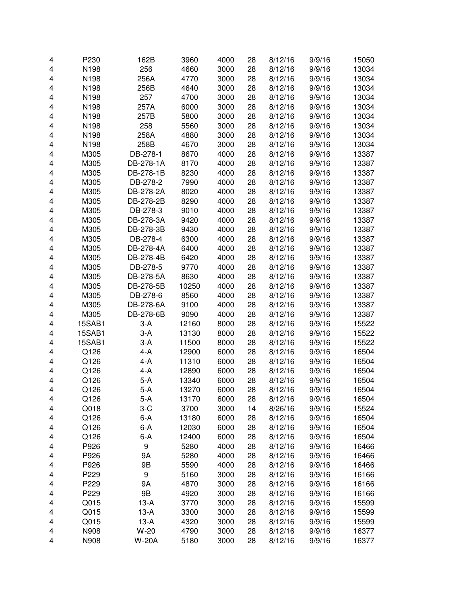| 4 | P230          | 162B         | 3960  | 4000 | 28 | 8/12/16 | 9/9/16 | 15050 |
|---|---------------|--------------|-------|------|----|---------|--------|-------|
| 4 | N198          | 256          | 4660  | 3000 | 28 | 8/12/16 | 9/9/16 | 13034 |
| 4 | N198          | 256A         | 4770  | 3000 | 28 | 8/12/16 | 9/9/16 | 13034 |
| 4 | N198          | 256B         | 4640  | 3000 | 28 | 8/12/16 | 9/9/16 | 13034 |
| 4 | N198          | 257          | 4700  | 3000 | 28 | 8/12/16 | 9/9/16 | 13034 |
| 4 | N198          | 257A         | 6000  | 3000 | 28 | 8/12/16 | 9/9/16 | 13034 |
| 4 | N198          | 257B         | 5800  | 3000 | 28 | 8/12/16 | 9/9/16 | 13034 |
| 4 | N198          | 258          | 5560  | 3000 | 28 | 8/12/16 | 9/9/16 | 13034 |
| 4 | N198          | 258A         | 4880  | 3000 | 28 | 8/12/16 | 9/9/16 | 13034 |
| 4 | N198          | 258B         | 4670  | 3000 | 28 | 8/12/16 | 9/9/16 | 13034 |
| 4 | M305          | DB-278-1     | 8670  | 4000 | 28 | 8/12/16 | 9/9/16 | 13387 |
| 4 | M305          | DB-278-1A    | 8170  | 4000 | 28 | 8/12/16 | 9/9/16 | 13387 |
| 4 | M305          | DB-278-1B    | 8230  | 4000 | 28 | 8/12/16 | 9/9/16 | 13387 |
| 4 | M305          | DB-278-2     | 7990  | 4000 | 28 | 8/12/16 | 9/9/16 | 13387 |
| 4 | M305          | DB-278-2A    | 8020  | 4000 | 28 | 8/12/16 | 9/9/16 | 13387 |
| 4 | M305          | DB-278-2B    | 8290  | 4000 | 28 | 8/12/16 | 9/9/16 | 13387 |
| 4 | M305          | DB-278-3     | 9010  | 4000 | 28 | 8/12/16 | 9/9/16 | 13387 |
| 4 | M305          | DB-278-3A    | 9420  | 4000 | 28 | 8/12/16 | 9/9/16 | 13387 |
| 4 | M305          | DB-278-3B    | 9430  | 4000 | 28 | 8/12/16 | 9/9/16 | 13387 |
| 4 | M305          | DB-278-4     | 6300  | 4000 | 28 | 8/12/16 | 9/9/16 | 13387 |
| 4 | M305          | DB-278-4A    | 6400  | 4000 | 28 | 8/12/16 | 9/9/16 | 13387 |
| 4 | M305          | DB-278-4B    | 6420  | 4000 | 28 | 8/12/16 | 9/9/16 | 13387 |
| 4 | M305          | DB-278-5     | 9770  | 4000 | 28 | 8/12/16 | 9/9/16 | 13387 |
| 4 | M305          | DB-278-5A    | 8630  | 4000 | 28 | 8/12/16 | 9/9/16 | 13387 |
| 4 | M305          | DB-278-5B    | 10250 | 4000 | 28 | 8/12/16 | 9/9/16 | 13387 |
| 4 | M305          | DB-278-6     | 8560  | 4000 | 28 | 8/12/16 | 9/9/16 | 13387 |
| 4 | M305          | DB-278-6A    | 9100  | 4000 | 28 | 8/12/16 | 9/9/16 | 13387 |
| 4 | M305          | DB-278-6B    | 9090  | 4000 | 28 | 8/12/16 | 9/9/16 | 13387 |
| 4 | 15SAB1        | $3-A$        | 12160 | 8000 | 28 | 8/12/16 | 9/9/16 | 15522 |
| 4 | 15SAB1        | $3-A$        | 13130 | 8000 | 28 | 8/12/16 | 9/9/16 | 15522 |
| 4 | <b>15SAB1</b> | $3-A$        | 11500 | 8000 | 28 | 8/12/16 | 9/9/16 | 15522 |
| 4 | Q126          | 4-A          | 12900 | 6000 | 28 | 8/12/16 | 9/9/16 | 16504 |
| 4 | Q126          | $4-A$        | 11310 | 6000 | 28 | 8/12/16 | 9/9/16 | 16504 |
| 4 | Q126          | 4-A          | 12890 | 6000 | 28 | 8/12/16 | 9/9/16 | 16504 |
| 4 | Q126          | $5-A$        | 13340 | 6000 | 28 | 8/12/16 | 9/9/16 | 16504 |
| 4 | Q126          | 5-A          | 13270 | 6000 | 28 | 8/12/16 | 9/9/16 | 16504 |
| 4 | Q126          | 5-A          | 13170 | 6000 | 28 | 8/12/16 | 9/9/16 | 16504 |
| 4 | Q018          | $3-C$        | 3700  | 3000 | 14 | 8/26/16 | 9/9/16 | 15524 |
| 4 | Q126          | $6-A$        | 13180 | 6000 | 28 | 8/12/16 | 9/9/16 | 16504 |
| 4 | Q126          | $6-A$        | 12030 | 6000 | 28 | 8/12/16 | 9/9/16 | 16504 |
| 4 | Q126          | $6-A$        | 12400 | 6000 | 28 | 8/12/16 | 9/9/16 | 16504 |
| 4 | P926          | 9            | 5280  | 4000 | 28 | 8/12/16 | 9/9/16 | 16466 |
| 4 | P926          | 9A           | 5280  | 4000 | 28 | 8/12/16 | 9/9/16 | 16466 |
| 4 | P926          | 9B           | 5590  | 4000 | 28 | 8/12/16 | 9/9/16 | 16466 |
| 4 | P229          | 9            | 5160  | 3000 | 28 | 8/12/16 | 9/9/16 | 16166 |
| 4 | P229          | 9Α           | 4870  | 3000 | 28 | 8/12/16 | 9/9/16 | 16166 |
| 4 | P229          | 9B           | 4920  | 3000 | 28 | 8/12/16 | 9/9/16 | 16166 |
| 4 | Q015          | $13-A$       | 3770  | 3000 | 28 | 8/12/16 | 9/9/16 | 15599 |
| 4 | Q015          | $13-A$       | 3300  | 3000 | 28 | 8/12/16 | 9/9/16 | 15599 |
| 4 | Q015          | $13-A$       | 4320  | 3000 | 28 | 8/12/16 | 9/9/16 | 15599 |
| 4 | N908          | $W-20$       | 4790  | 3000 | 28 | 8/12/16 | 9/9/16 | 16377 |
| 4 | N908          | <b>W-20A</b> | 5180  | 3000 | 28 | 8/12/16 | 9/9/16 | 16377 |